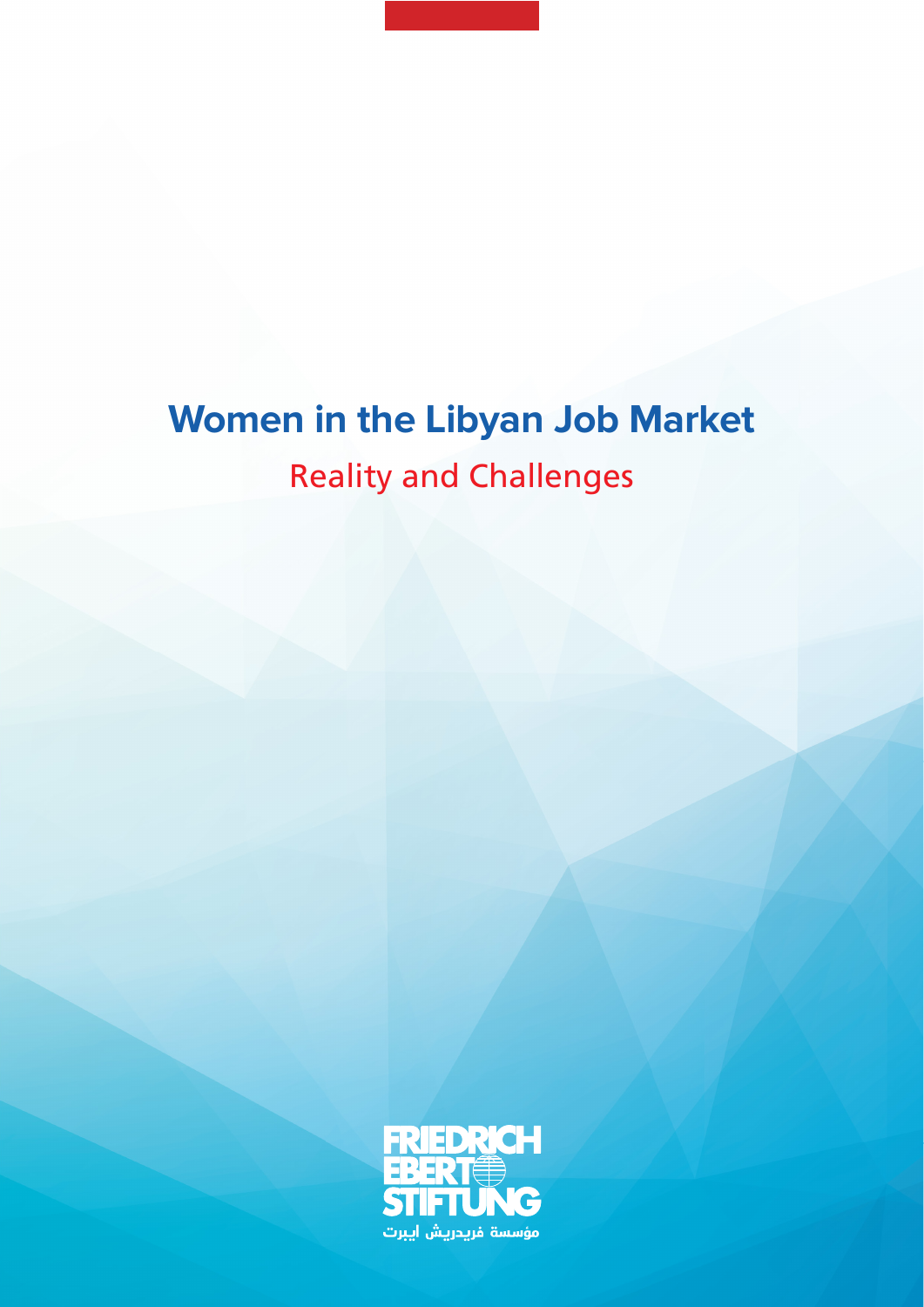# **Women in the Libyan Job Market Reality and Challenges**

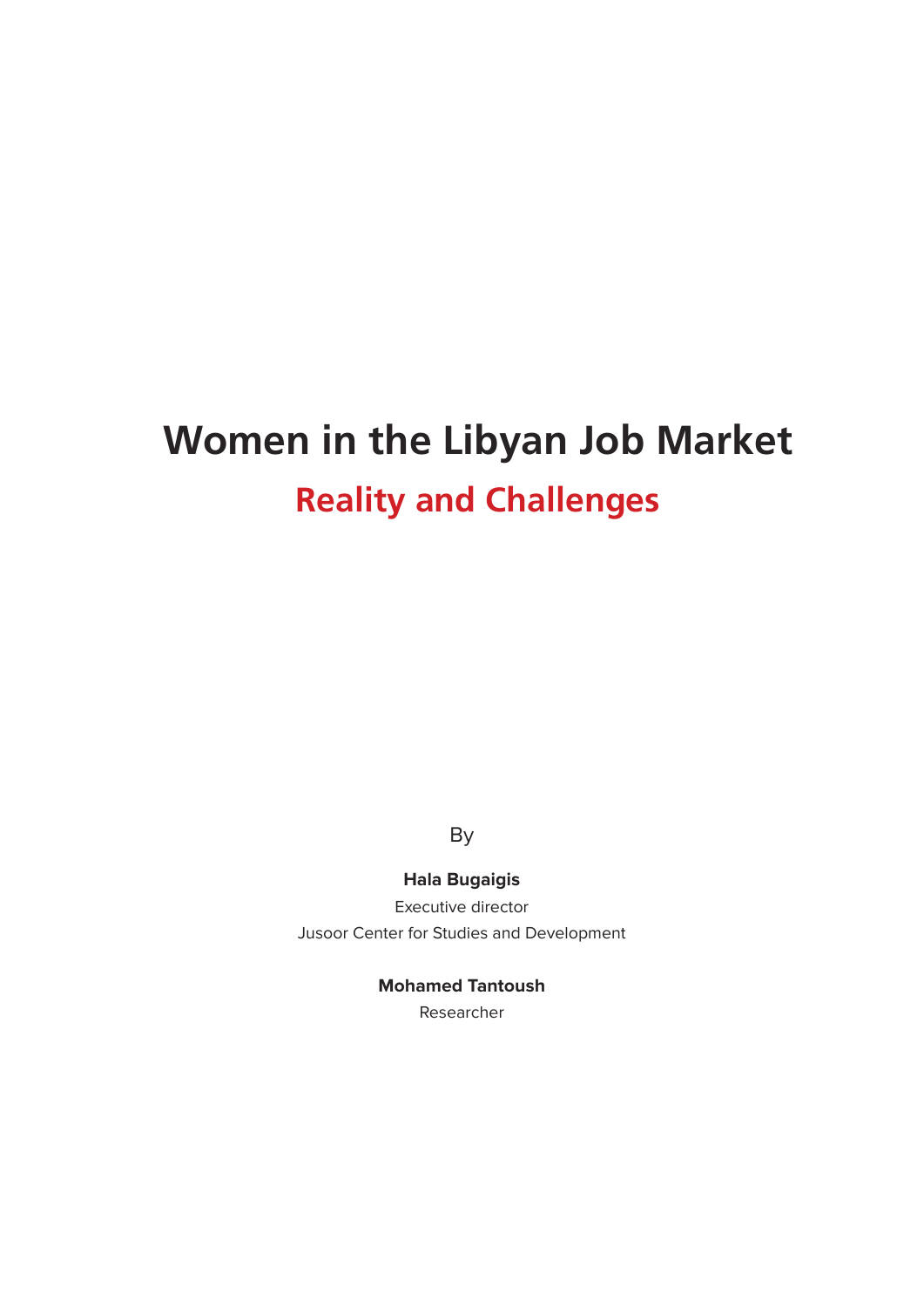# **Women in the Libyan Job Market Reality and Challenges**

By

**Hala Bugaigis** 

Executive director Jusoor Center for Studies and Development

#### **Mohamed Tantoush**

Researcher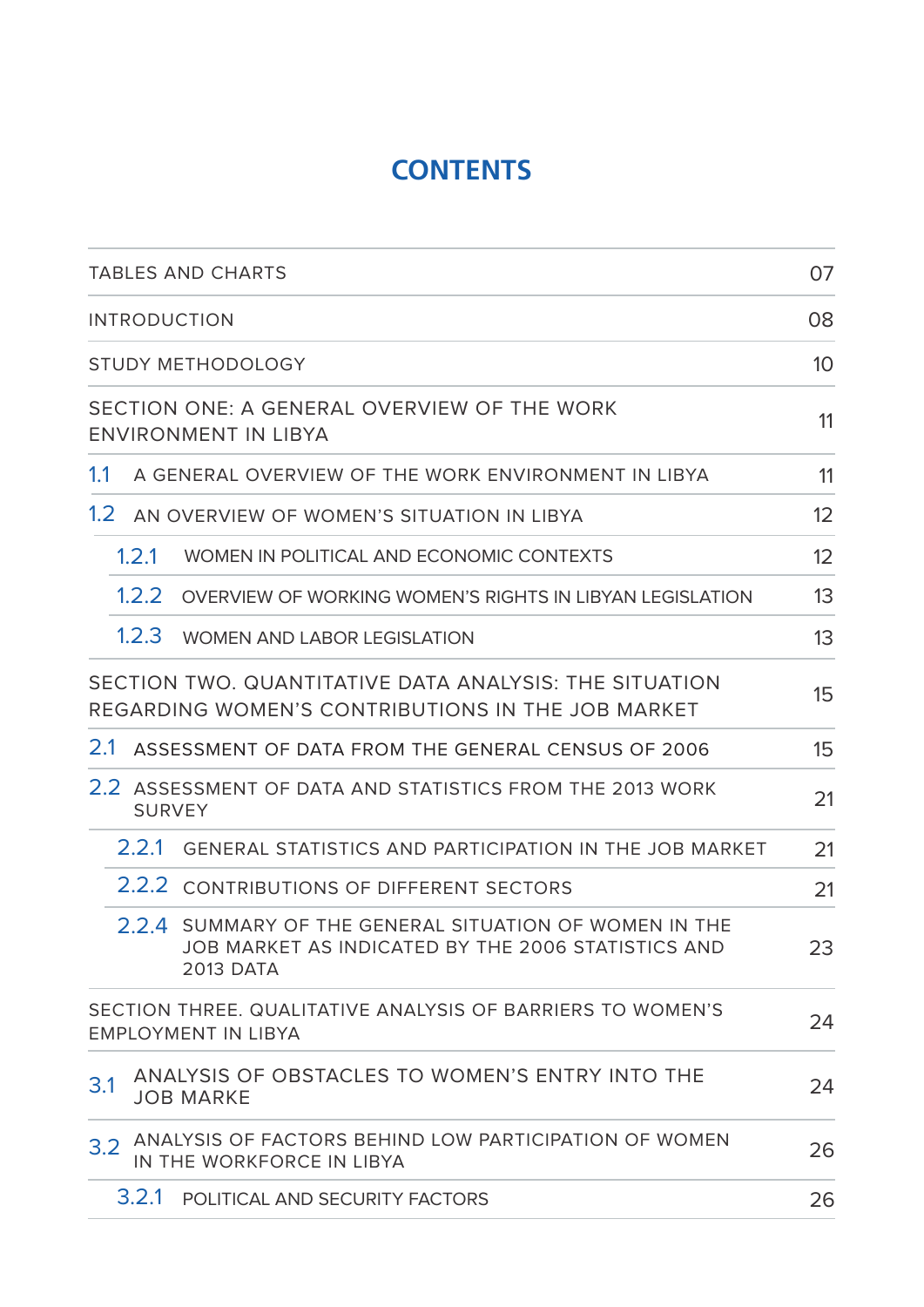## **CONTENTS**

|                  | <b>TABLES AND CHARTS</b>                                                                                                         | 07              |
|------------------|----------------------------------------------------------------------------------------------------------------------------------|-----------------|
|                  | <b>INTRODUCTION</b>                                                                                                              | 08              |
|                  | <b>STUDY METHODOLOGY</b>                                                                                                         | 10 <sup>°</sup> |
|                  | SECTION ONE: A GENERAL OVERVIEW OF THE WORK<br>ENVIRONMENT IN LIBYA                                                              | 11              |
| 1.1              | A GENERAL OVERVIEW OF THE WORK ENVIRONMENT IN LIBYA                                                                              | 11              |
| 1.2 <sub>2</sub> | AN OVERVIEW OF WOMEN'S SITUATION IN LIBYA                                                                                        | 12              |
|                  | 1.2.1<br>WOMEN IN POLITICAL AND ECONOMIC CONTEXTS                                                                                | 12              |
|                  | 1.2.2<br>OVERVIEW OF WORKING WOMEN'S RIGHTS IN LIBYAN LEGISLATION                                                                | 13              |
|                  | 1.2.3<br><b>WOMEN AND LABOR LEGISLATION</b>                                                                                      | 13              |
|                  | SECTION TWO. QUANTITATIVE DATA ANALYSIS: THE SITUATION<br>REGARDING WOMEN'S CONTRIBUTIONS IN THE JOB MARKET                      | 15              |
| 2.1              | ASSESSMENT OF DATA FROM THE GENERAL CENSUS OF 2006                                                                               | 15              |
|                  | 2.2 ASSESSMENT OF DATA AND STATISTICS FROM THE 2013 WORK<br><b>SURVEY</b>                                                        | 21              |
|                  | 2.2.1<br><b>GENERAL STATISTICS AND PARTICIPATION IN THE JOB MARKET</b>                                                           | 21              |
|                  | 2.2.2 CONTRIBUTIONS OF DIFFERENT SECTORS                                                                                         | 21              |
|                  | 2.2.4 SUMMARY OF THE GENERAL SITUATION OF WOMEN IN THE<br>JOB MARKET AS INDICATED BY THE 2006 STATISTICS AND<br><b>2013 DATA</b> | 23              |
|                  | SECTION THREE. QUALITATIVE ANALYSIS OF BARRIERS TO WOMEN'S<br><b>EMPLOYMENT IN LIBYA</b>                                         | 24              |
| 3.1              | ANALYSIS OF OBSTACLES TO WOMEN'S ENTRY INTO THE<br><b>JOB MARKE</b>                                                              | 24              |
| 3.2              | ANALYSIS OF FACTORS BEHIND LOW PARTICIPATION OF WOMEN<br>IN THE WORKFORCE IN LIBYA                                               | 26              |
|                  | 3.2.1<br>POLITICAL AND SECURITY FACTORS                                                                                          | 26              |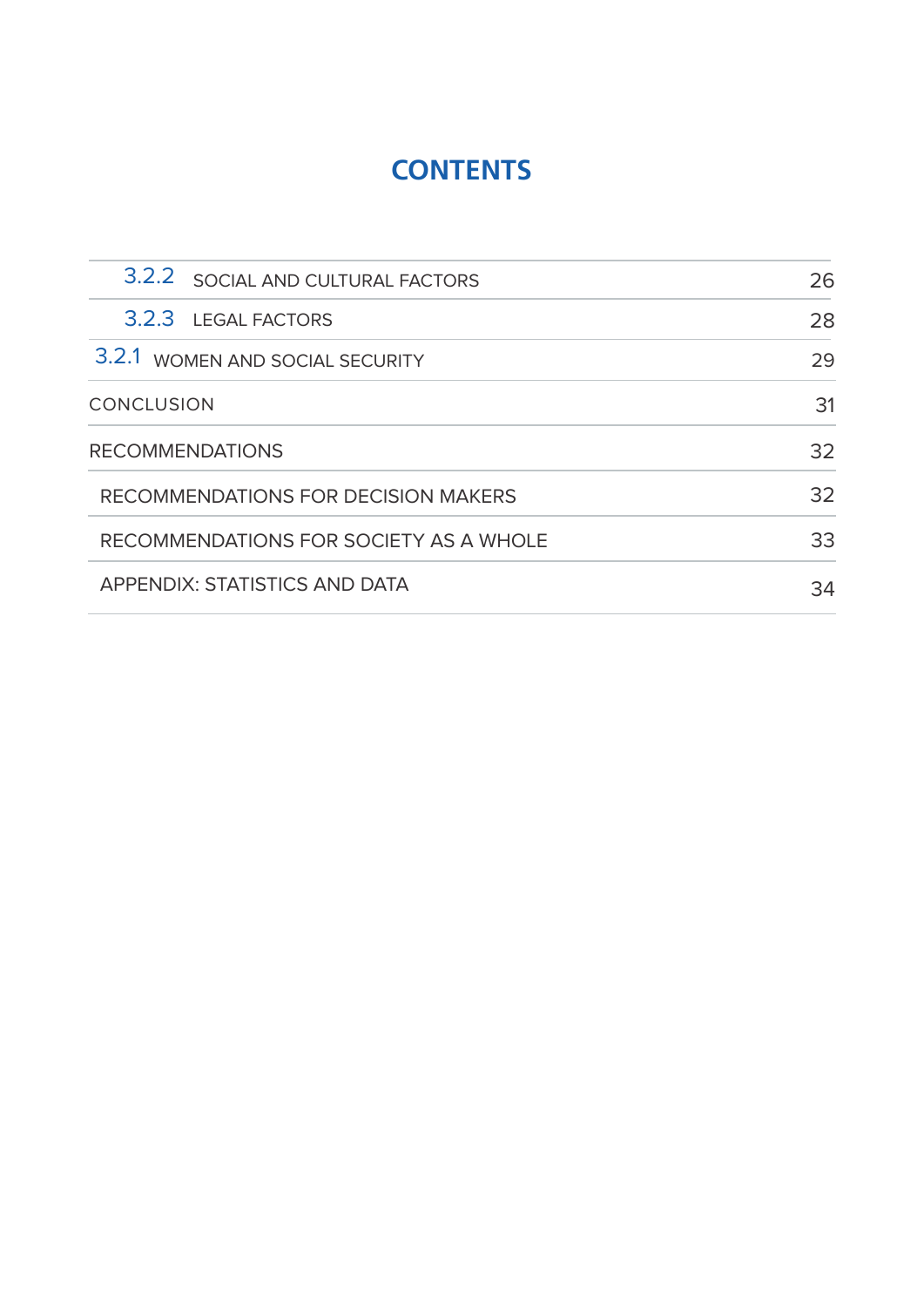## **CONTENTS**

| 3.2.2 SOCIAL AND CULTURAL FACTORS      | 26 |
|----------------------------------------|----|
| 3.2.3 LEGAL FACTORS                    | 28 |
| 3.2.1 WOMEN AND SOCIAL SECURITY        | 29 |
| <b>CONCLUSION</b>                      | 31 |
| <b>RECOMMENDATIONS</b>                 | 32 |
| RECOMMENDATIONS FOR DECISION MAKERS    | 32 |
| RECOMMENDATIONS FOR SOCIETY AS A WHOLE | 33 |
| <b>APPENDIX: STATISTICS AND DATA</b>   | 34 |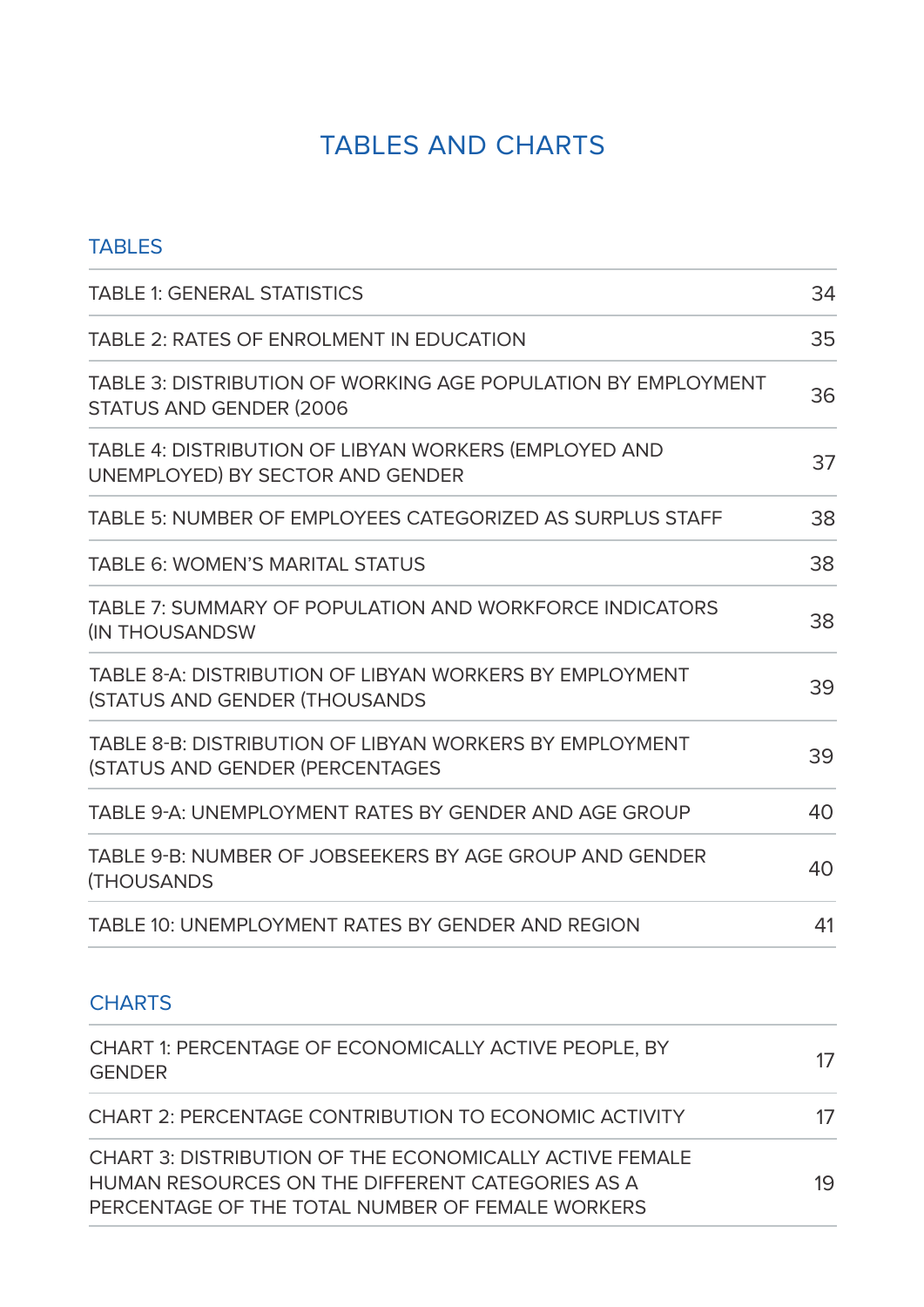### TABLES AND CHARTS

| <b>TABLES</b>                                                                                      |    |
|----------------------------------------------------------------------------------------------------|----|
| <b>TABLE 1: GENERAL STATISTICS</b>                                                                 | 34 |
| TABLE 2: RATES OF ENROLMENT IN EDUCATION                                                           | 35 |
| TABLE 3: DISTRIBUTION OF WORKING AGE POPULATION BY EMPLOYMENT<br><b>STATUS AND GENDER (2006)</b>   | 36 |
| TABLE 4: DISTRIBUTION OF LIBYAN WORKERS (EMPLOYED AND<br>UNEMPLOYED) BY SECTOR AND GENDER          | 37 |
| TABLE 5: NUMBER OF EMPLOYEES CATEGORIZED AS SURPLUS STAFF                                          | 38 |
| <b>TABLE 6: WOMEN'S MARITAL STATUS</b>                                                             | 38 |
| TABLE 7: SUMMARY OF POPULATION AND WORKFORCE INDICATORS<br><b>(IN THOUSANDSW)</b>                  | 38 |
| TABLE 8-A: DISTRIBUTION OF LIBYAN WORKERS BY EMPLOYMENT<br><b>(STATUS AND GENDER (THOUSANDS)</b>   | 39 |
| TABLE 8-B: DISTRIBUTION OF LIBYAN WORKERS BY EMPLOYMENT<br><b>(STATUS AND GENDER (PERCENTAGES)</b> | 39 |
| TABLE 9-A: UNEMPLOYMENT RATES BY GENDER AND AGE GROUP                                              | 40 |
| TABLE 9-B: NUMBER OF JOBSEEKERS BY AGE GROUP AND GENDER<br><b>(THOUSANDS</b>                       | 40 |
| TABLE 10: UNEMPLOYMENT RATES BY GENDER AND REGION                                                  | 41 |

### **CHARTS**

| CHART 1: PERCENTAGE OF ECONOMICALLY ACTIVE PEOPLE, BY<br><b>GENDER</b>                                                                                                 | 17 |
|------------------------------------------------------------------------------------------------------------------------------------------------------------------------|----|
| CHART 2: PERCENTAGE CONTRIBUTION TO ECONOMIC ACTIVITY                                                                                                                  | 17 |
| <b>CHART 3: DISTRIBUTION OF THE ECONOMICALLY ACTIVE FEMALE</b><br>HUMAN RESOURCES ON THE DIFFERENT CATEGORIES AS A<br>PERCENTAGE OF THE TOTAL NUMBER OF FEMALE WORKERS | 19 |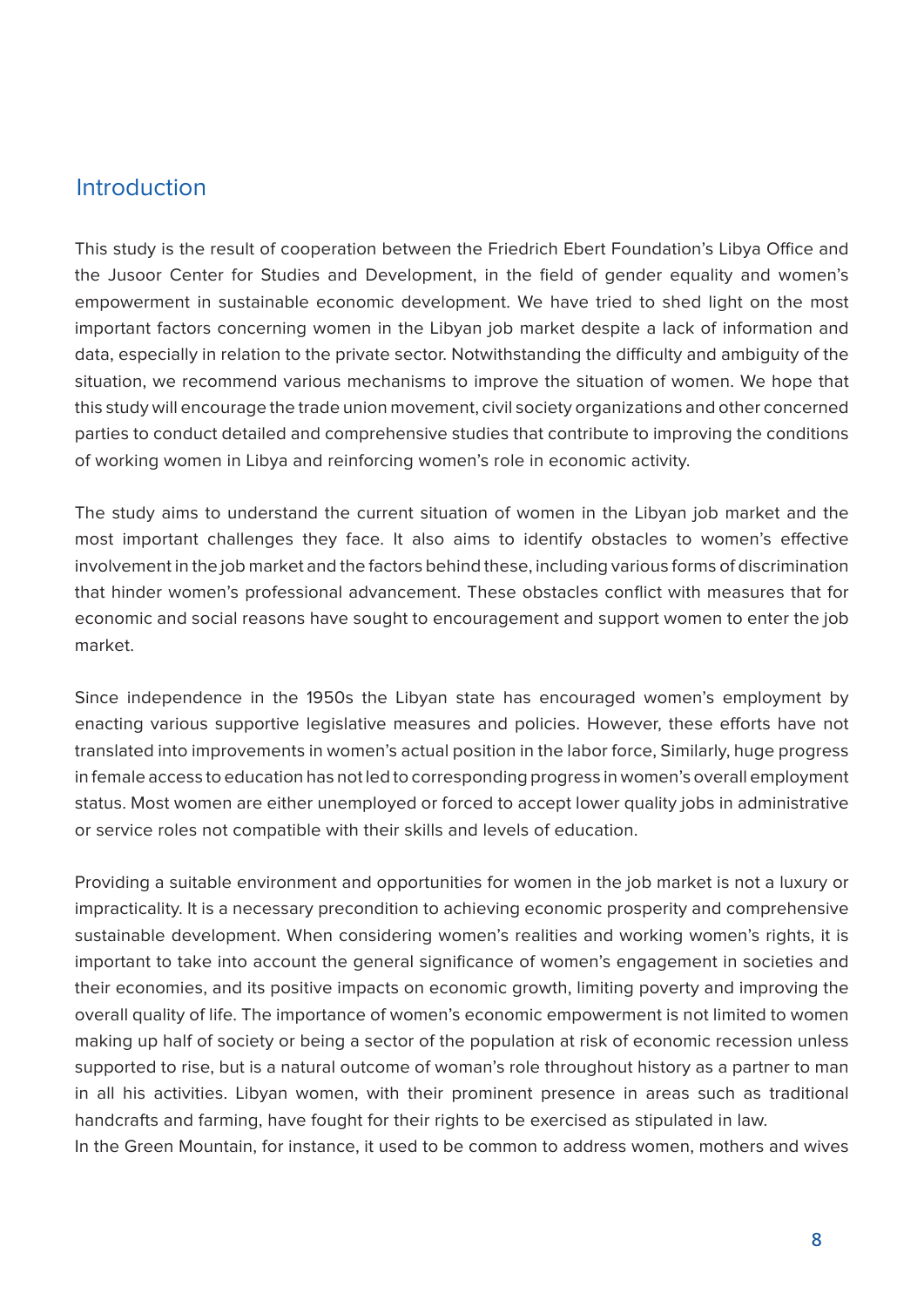#### Introduction

This study is the result of cooperation between the Friedrich Ebert Foundation's Libya Office and the Jusoor Center for Studies and Development, in the field of gender equality and women's empowerment in sustainable economic development. We have tried to shed light on the most important factors concerning women in the Libyan job market despite a lack of information and data, especially in relation to the private sector. Notwithstanding the difficulty and ambiguity of the situation, we recommend various mechanisms to improve the situation of women. We hope that this study will encourage the trade union movement, civil society organizations and other concerned parties to conduct detailed and comprehensive studies that contribute to improving the conditions of working women in Libya and reinforcing women's role in economic activity.

The study aims to understand the current situation of women in the Libyan job market and the most important challenges they face. It also aims to identify obstacles to women's effective involvement in the job market and the factors behind these, including various forms of discrimination that hinder women's professional advancement. These obstacles conflict with measures that for economic and social reasons have sought to encouragement and support women to enter the job .market

Since independence in the 1950s the Libyan state has encouraged women's employment by enacting various supportive legislative measures and policies. However, these efforts have not translated into improvements in women's actual position in the labor force, Similarly, huge progress in female access to education has not led to corresponding progress in women's overall employment status. Most women are either unemployed or forced to accept lower quality jobs in administrative or service roles not compatible with their skills and levels of education.

Providing a suitable environment and opportunities for women in the job market is not a luxury or impracticality. It is a necessary precondition to achieving economic prosperity and comprehensive sustainable development. When considering women's realities and working women's rights, it is important to take into account the general significance of women's engagement in societies and their economies, and its positive impacts on economic growth, limiting poverty and improving the overall quality of life. The importance of women's economic empowerment is not limited to women making up half of society or being a sector of the population at risk of economic recession unless supported to rise, but is a natural outcome of woman's role throughout history as a partner to man in all his activities. Libyan women, with their prominent presence in areas such as traditional handcrafts and farming, have fought for their rights to be exercised as stipulated in law. In the Green Mountain, for instance, it used to be common to address women, mothers and wives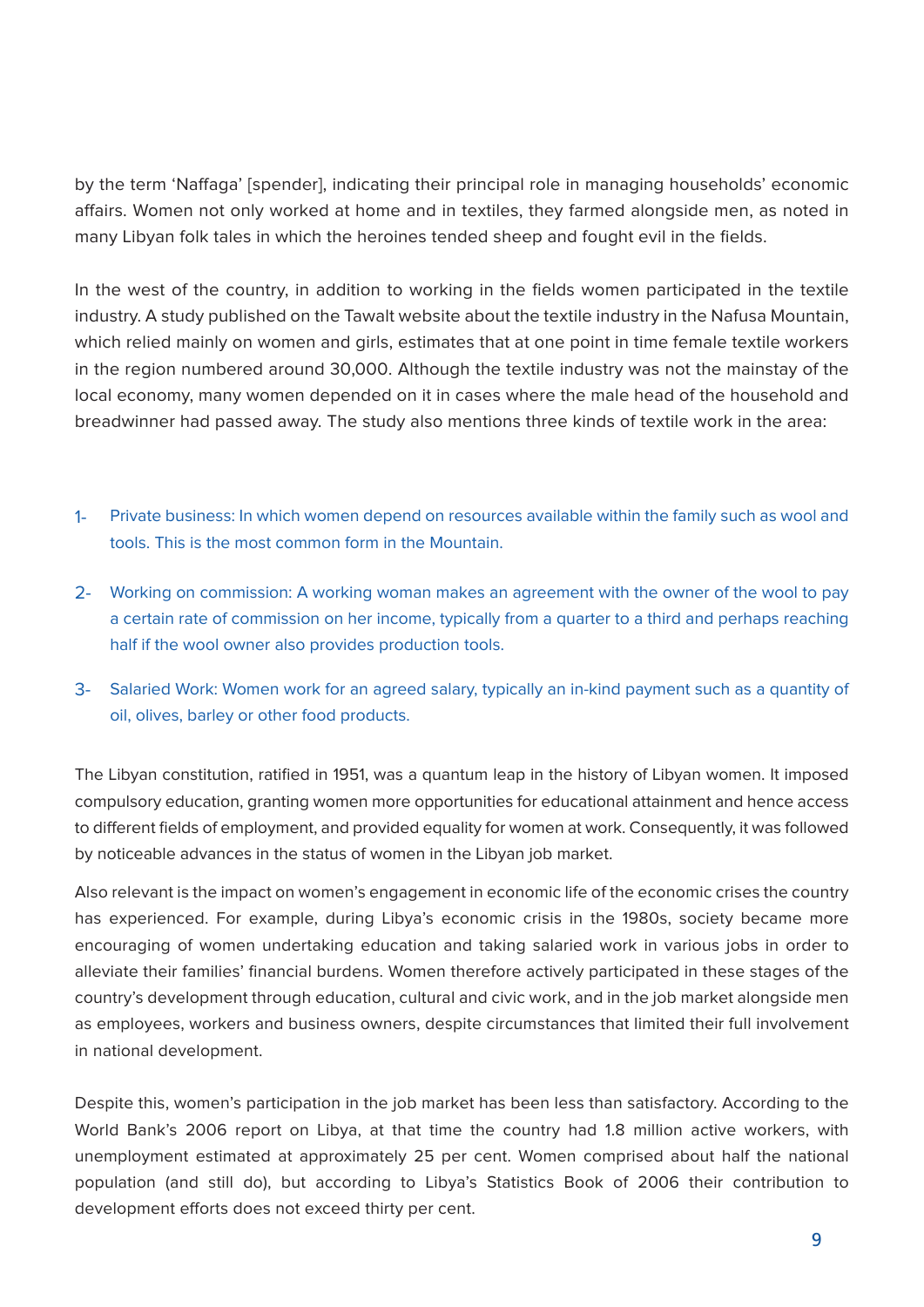by the term 'Naffaga' [spender], indicating their principal role in managing households' economic affairs. Women not only worked at home and in textiles, they farmed alongside men, as noted in many Libyan folk tales in which the heroines tended sheep and fought evil in the fields.

In the west of the country, in addition to working in the fields women participated in the textile industry. A study published on the Tawalt website about the textile industry in the Nafusa Mountain, which relied mainly on women and girls, estimates that at one point in time female textile workers in the region numbered around 30,000. Although the textile industry was not the mainstay of the local economy, many women depended on it in cases where the male head of the household and breadwinner had passed away. The study also mentions three kinds of textile work in the area:

- 1- Private business: In which women depend on resources available within the family such as wool and tools. This is the most common form in the Mountain.
- 2- Working on commission: A working woman makes an agreement with the owner of the wool to pay a certain rate of commission on her income, typically from a quarter to a third and perhaps reaching half if the wool owner also provides production tools.
- 3- Salaried Work: Women work for an agreed salary, typically an in-kind payment such as a quantity of oil, olives, barley or other food products.

The Libyan constitution, ratified in 1951, was a quantum leap in the history of Libyan women. It imposed compulsory education, granting women more opportunities for educational attainment and hence access to different fields of employment, and provided equality for women at work. Consequently, it was followed by noticeable advances in the status of women in the Libyan job market.

Also relevant is the impact on women's engagement in economic life of the economic crises the country has experienced. For example, during Libya's economic crisis in the 1980s, society became more encouraging of women undertaking education and taking salaried work in various jobs in order to alleviate their families' financial burdens. Women therefore actively participated in these stages of the country's development through education, cultural and civic work, and in the job market alongside men as employees, workers and business owners, despite circumstances that limited their full involvement in national development.

Despite this, women's participation in the job market has been less than satisfactory. According to the World Bank's 2006 report on Libya, at that time the country had 1.8 million active workers, with unemployment estimated at approximately 25 per cent. Women comprised about half the national population (and still do), but according to Libya's Statistics Book of 2006 their contribution to development efforts does not exceed thirty per cent.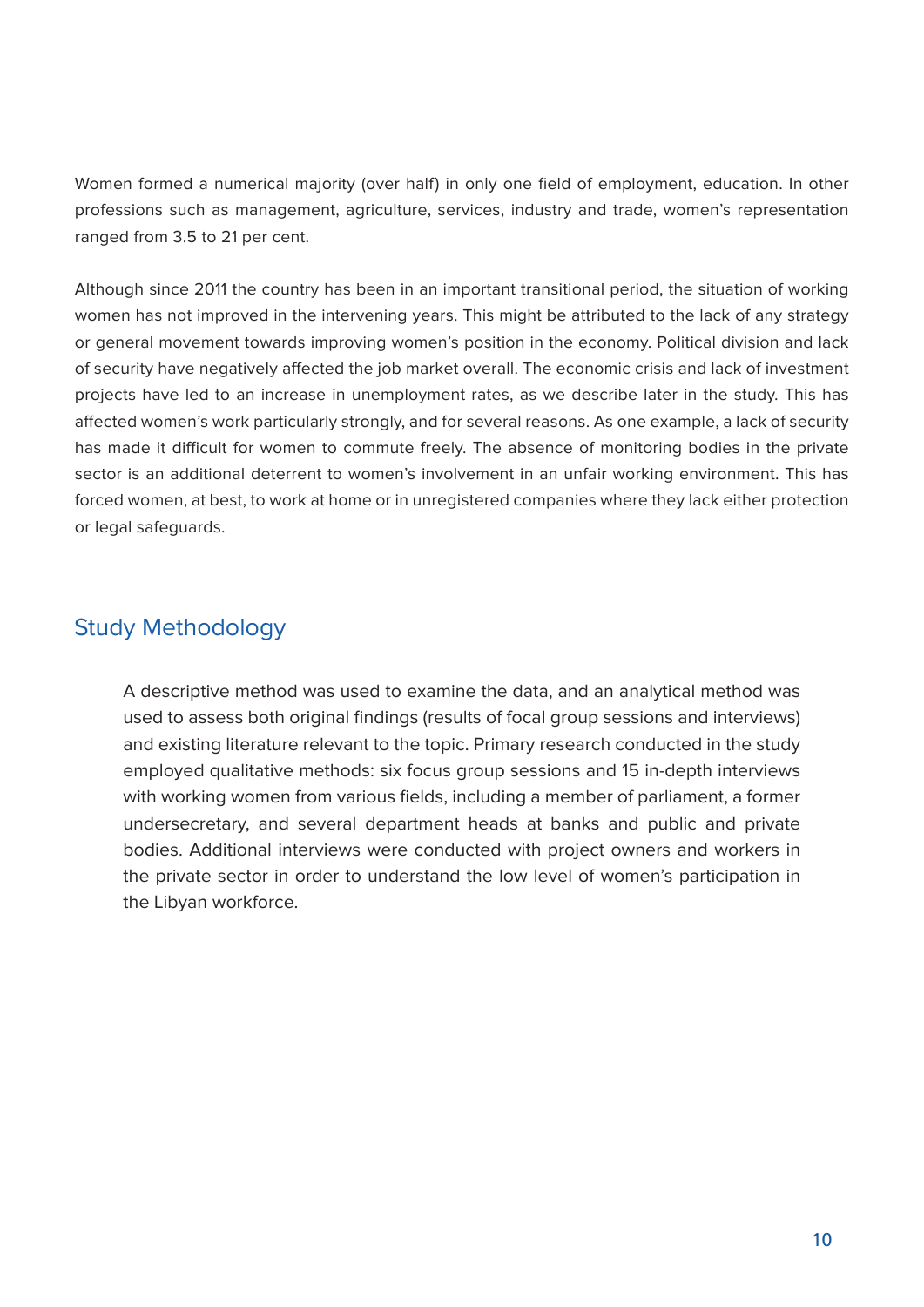Women formed a numerical majority (over half) in only one field of employment, education. In other professions such as management, agriculture, services, industry and trade, women's representation ranged from 3.5 to 21 per cent.

Although since 2011 the country has been in an important transitional period, the situation of working women has not improved in the intervening years. This might be attributed to the lack of any strategy or general movement towards improving women's position in the economy. Political division and lack of security have negatively affected the job market overall. The economic crisis and lack of investment projects have led to an increase in unemployment rates, as we describe later in the study. This has affected women's work particularly strongly, and for several reasons. As one example, a lack of security has made it difficult for women to commute freely. The absence of monitoring bodies in the private sector is an additional deterrent to women's involvement in an unfair working environment. This has forced women, at best, to work at home or in unregistered companies where they lack either protection or legal safeguards.

#### Study Methodology

A descriptive method was used to examine the data, and an analytical method was used to assess both original findings (results of focal group sessions and interviews) and existing literature relevant to the topic. Primary research conducted in the study employed qualitative methods: six focus group sessions and 15 in-depth interviews with working women from various fields, including a member of parliament, a former undersecretary, and several department heads at banks and public and private bodies. Additional interviews were conducted with project owners and workers in the private sector in order to understand the low level of women's participation in the Libyan workforce.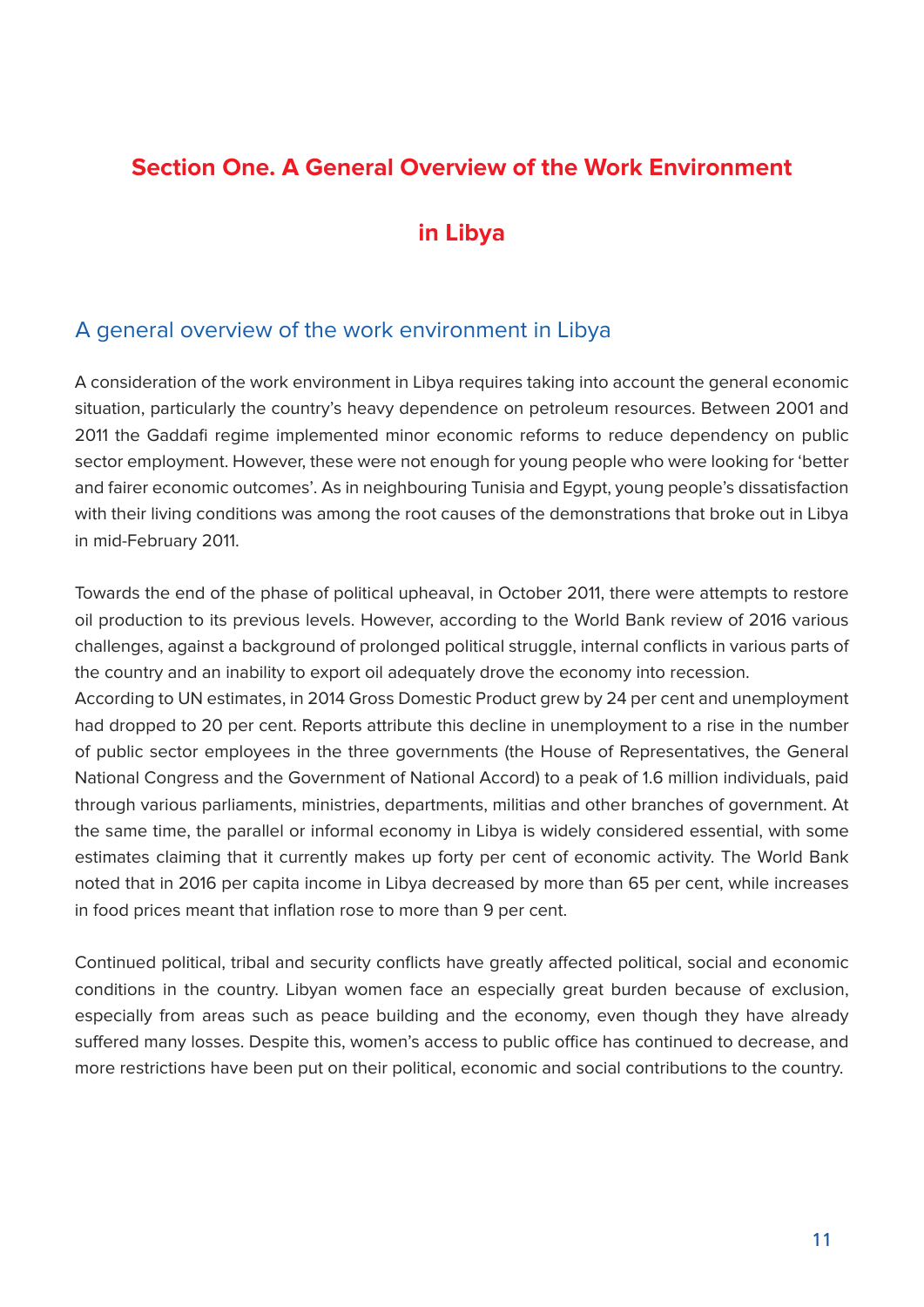#### **Section One. A General Overview of the Work Environment**

#### **in Libya**

#### A general overview of the work environment in Libya

A consideration of the work environment in Libya requires taking into account the general economic situation, particularly the country's heavy dependence on petroleum resources. Between 2001 and 2011 the Gaddafi regime implemented minor economic reforms to reduce dependency on public sector employment. However, these were not enough for young people who were looking for 'better and fairer economic outcomes'. As in neighbouring Tunisia and Egypt, young people's dissatisfaction with their living conditions was among the root causes of the demonstrations that broke out in Libya in mid-February 2011.

Towards the end of the phase of political upheaval, in October 2011, there were attempts to restore oil production to its previous levels. However, according to the World Bank review of 2016 various challenges, against a background of prolonged political struggle, internal conflicts in various parts of the country and an inability to export oil adequately drove the economy into recession.

According to UN estimates, in 2014 Gross Domestic Product grew by 24 per cent and unemployment had dropped to 20 per cent. Reports attribute this decline in unemployment to a rise in the number of public sector employees in the three governments (the House of Representatives, the General National Congress and the Government of National Accord) to a peak of 1.6 million individuals, paid through various parliaments, ministries, departments, militias and other branches of government. At the same time, the parallel or informal economy in Libya is widely considered essential, with some estimates claiming that it currently makes up forty per cent of economic activity. The World Bank noted that in 2016 per capita income in Libya decreased by more than 65 per cent, while increases in food prices meant that inflation rose to more than 9 per cent.

Continued political, tribal and security conflicts have greatly affected political, social and economic conditions in the country. Libyan women face an especially great burden because of exclusion, especially from areas such as peace building and the economy, even though they have already suffered many losses. Despite this, women's access to public office has continued to decrease, and more restrictions have been put on their political, economic and social contributions to the country.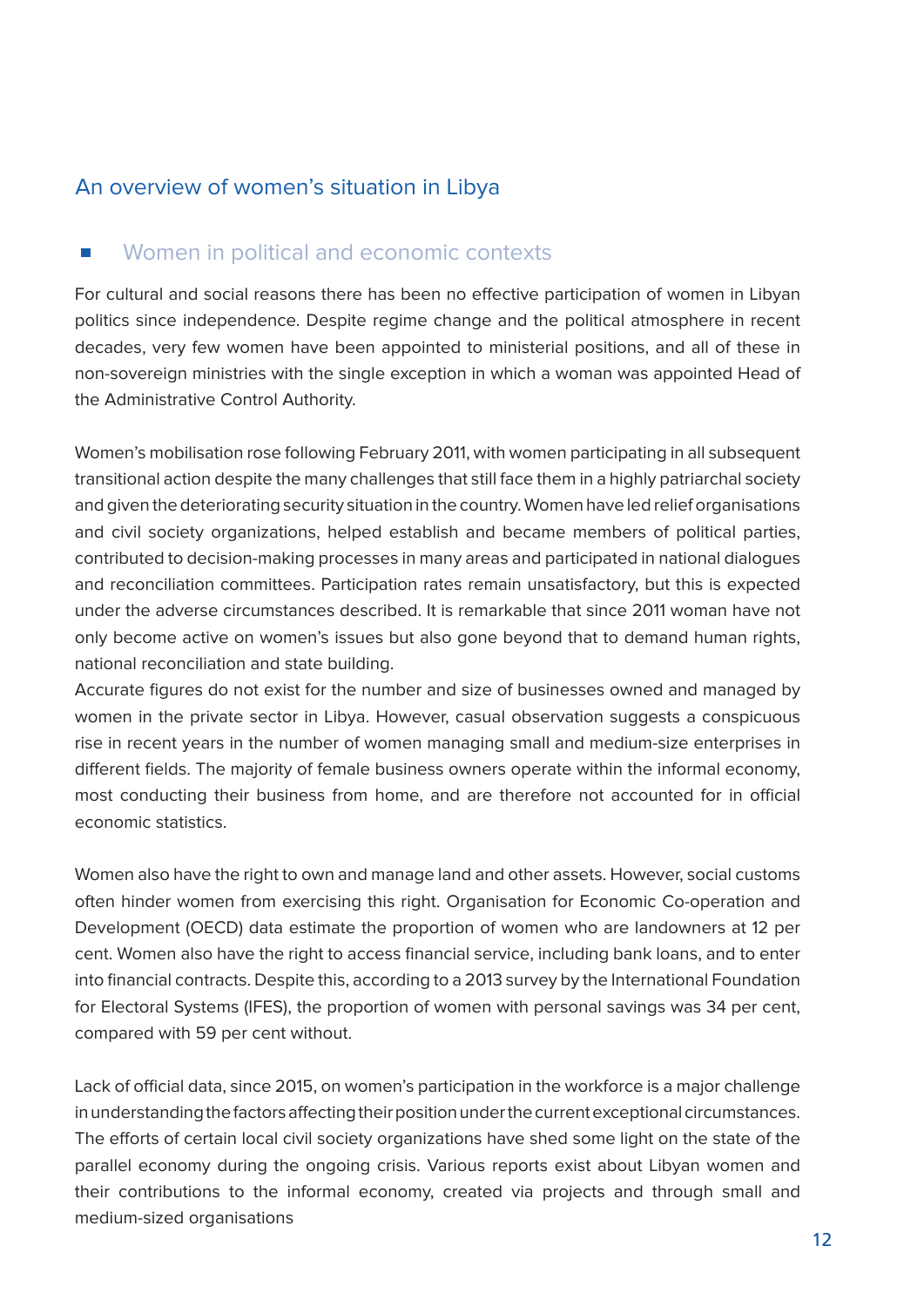#### An overview of women's situation in Libya

#### Women in political and economic contexts  $\overline{\phantom{a}}$

For cultural and social reasons there has been no effective participation of women in Libyan politics since independence. Despite regime change and the political atmosphere in recent decades, very few women have been appointed to ministerial positions, and all of these in non-sovereign ministries with the single exception in which a woman was appointed Head of the Administrative Control Authority.

Women's mobilisation rose following February 2011, with women participating in all subsequent transitional action despite the many challenges that still face them in a highly patriarchal society and given the deteriorating security situation in the country. Women have led relief organisations and civil society organizations, helped establish and became members of political parties, contributed to decision-making processes in many areas and participated in national dialogues and reconciliation committees. Participation rates remain unsatisfactory, but this is expected under the adverse circumstances described. It is remarkable that since 2011 woman have not only become active on women's issues but also gone beyond that to demand human rights, national reconciliation and state building.

Accurate figures do not exist for the number and size of businesses owned and managed by women in the private sector in Libya. However, casual observation suggests a conspicuous rise in recent vears in the number of women managing small and medium-size enterprises in different fields. The majority of female business owners operate within the informal economy, most conducting their business from home, and are therefore not accounted for in official economic statistics

Women also have the right to own and manage land and other assets. However, social customs often hinder women from exercising this right. Organisation for Economic Co-operation and Development (OECD) data estimate the proportion of women who are landowners at 12 per cent. Women also have the right to access financial service, including bank loans, and to enter into financial contracts. Despite this, according to a 2013 survey by the International Foundation for Electoral Systems (IFES), the proportion of women with personal savings was 34 per cent, compared with 59 per cent without.

Lack of official data, since 2015, on women's participation in the workforce is a major challenge in understanding the factors affecting their position under the current exceptional circumstances. The efforts of certain local civil society organizations have shed some light on the state of the parallel economy during the ongoing crisis. Various reports exist about Libyan women and their contributions to the informal economy, created via projects and through small and medium-sized organisations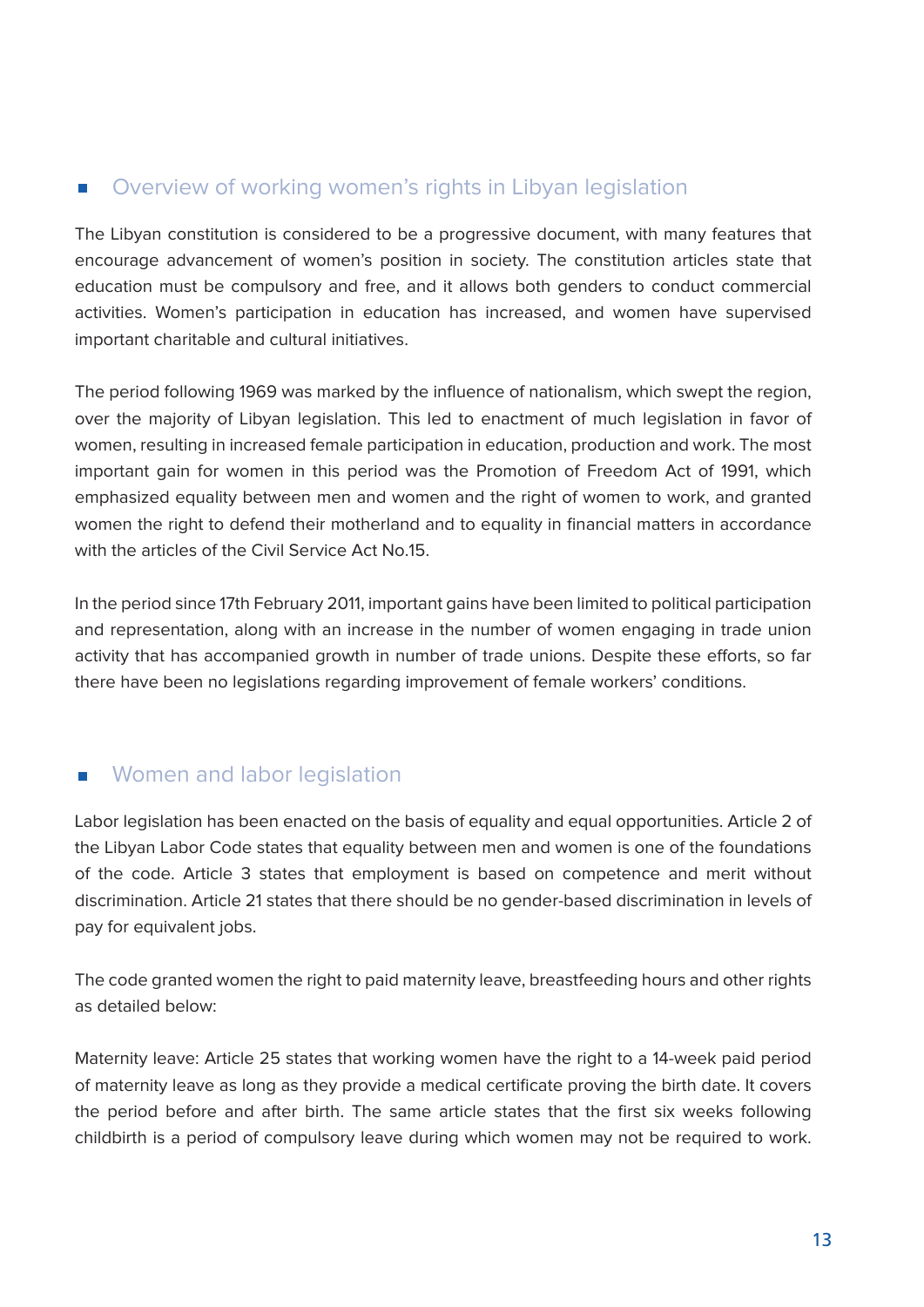#### Overview of working women's rights in Libyan legislation  $\mathcal{L}_{\mathcal{A}}$

The Libyan constitution is considered to be a progressive document, with many features that encourage advancement of women's position in society. The constitution articles state that education must be compulsory and free, and it allows both genders to conduct commercial activities. Women's participation in education has increased, and women have supervised important charitable and cultural initiatives.

The period following 1969 was marked by the influence of nationalism, which swept the region, over the majority of Libyan legislation. This led to enactment of much legislation in favor of women, resulting in increased female participation in education, production and work. The most important gain for women in this period was the Promotion of Freedom Act of 1991, which emphasized equality between men and women and the right of women to work, and granted women the right to defend their motherland and to equality in financial matters in accordance with the articles of the Civil Service Act No 15

In the period since 17th February 2011, important gains have been limited to political participation and representation, along with an increase in the number of women engaging in trade union activity that has accompanied growth in number of trade unions. Despite these efforts, so far there have been no legislations regarding improvement of female workers' conditions.

#### Women and labor legislation  $\mathcal{L}_{\mathcal{A}}$

Labor legislation has been enacted on the basis of equality and equal opportunities. Article 2 of the Libyan Labor Code states that equality between men and women is one of the foundations of the code. Article 3 states that employment is based on competence and merit without discrimination. Article 21 states that there should be no gender-based discrimination in levels of pay for equivalent jobs.

The code granted women the right to paid maternity leave, breastfeeding hours and other rights as detailed below:

Maternity leave: Article 25 states that working women have the right to a 14-week paid period of maternity leave as long as they provide a medical certificate proving the birth date. It covers the period before and after birth. The same article states that the first six weeks following childbirth is a period of compulsory leave during which women may not be required to work.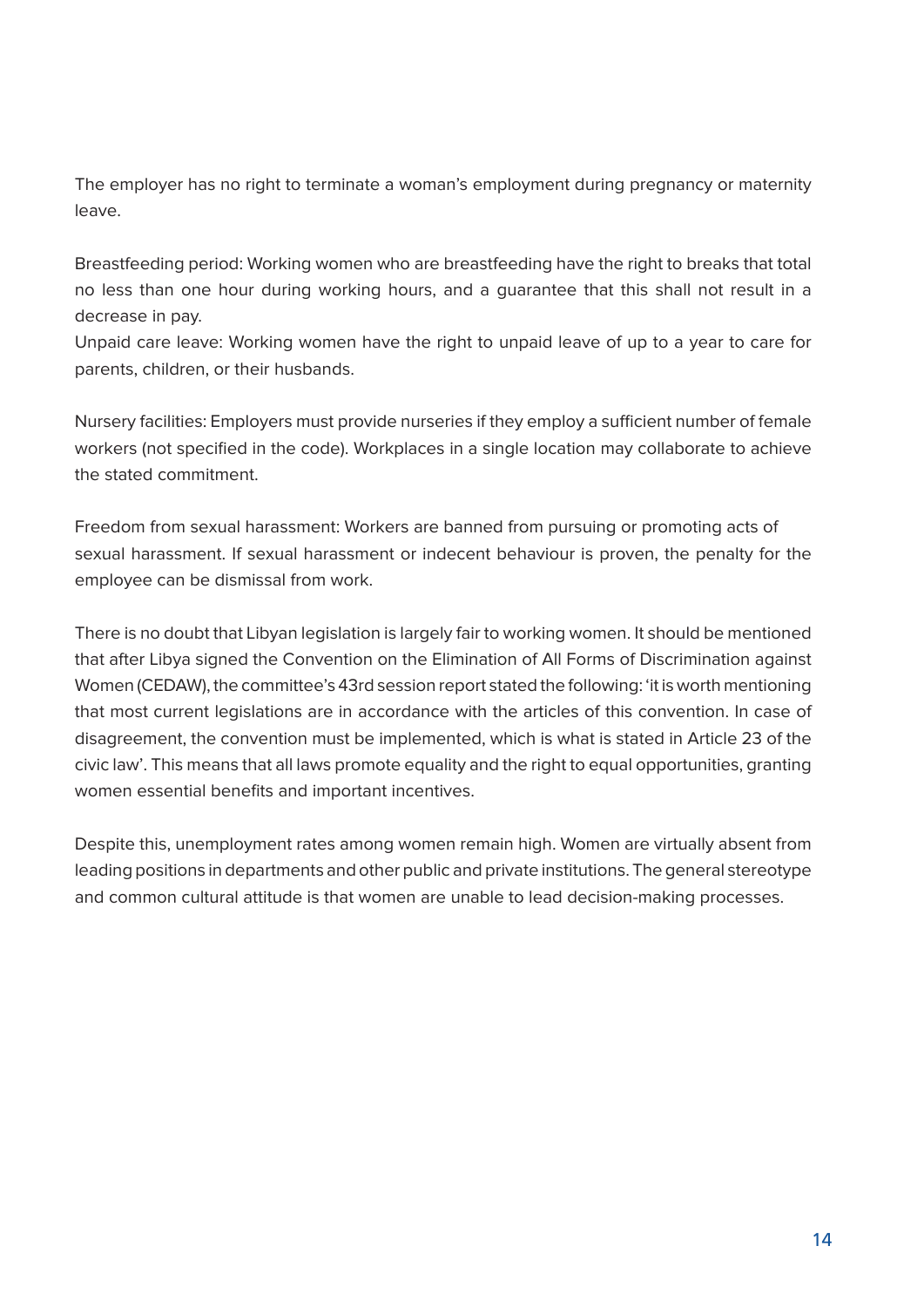The employer has no right to terminate a woman's employment during pregnancy or maternity .leave

Breastfeeding period: Working women who are breastfeeding have the right to breaks that total no less than one hour during working hours, and a guarantee that this shall not result in a decrease in pay.

Unpaid care leave: Working women have the right to unpaid leave of up to a year to care for parents, children, or their husbands.

Nursery facilities: Employers must provide nurseries if they employ a sufficient number of female workers (not specified in the code). Workplaces in a single location may collaborate to achieve the stated commitment

Freedom from sexual harassment: Workers are banned from pursuing or promoting acts of sexual harassment. If sexual harassment or indecent behaviour is proven, the penalty for the employee can be dismissal from work.

There is no doubt that Libyan legislation is largely fair to working women. It should be mentioned that after Libya signed the Convention on the Elimination of All Forms of Discrimination against Women (CEDAW), the committee's 43rd session report stated the following: 'it is worth mentioning that most current legislations are in accordance with the articles of this convention. In case of disagreement, the convention must be implemented, which is what is stated in Article 23 of the civic law'. This means that all laws promote equality and the right to equal opportunities, granting women essential benefits and important incentives.

Despite this, unemployment rates among women remain high. Women are virtually absent from leading positions in departments and other public and private institutions. The general stereotype and common cultural attitude is that women are unable to lead decision-making processes.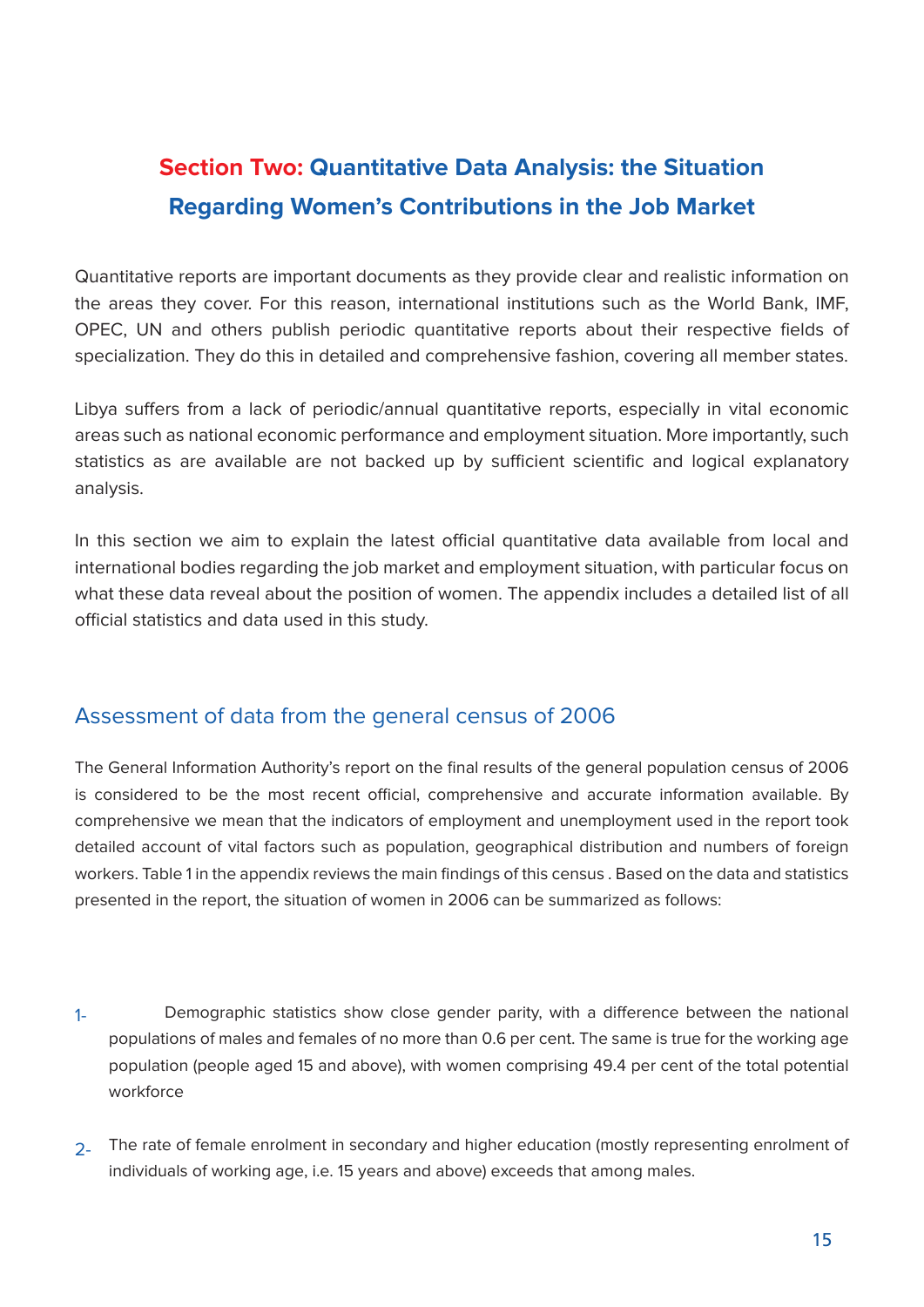### **Section Two: Quantitative Data Analysis: the Situation Regarding Women's Contributions in the Job Market**

Quantitative reports are important documents as they provide clear and realistic information on the areas they cover. For this reason, international institutions such as the World Bank, IMF, OPEC, UN and others publish periodic quantitative reports about their respective fields of specialization. They do this in detailed and comprehensive fashion, covering all member states.

Libya suffers from a lack of periodic/annual quantitative reports, especially in vital economic areas such as national economic performance and employment situation. More importantly, such statistics as are available are not backed up by sufficient scientific and logical explanatory .analysis

In this section we aim to explain the latest official quantitative data available from local and international bodies regarding the job market and employment situation, with particular focus on what these data reveal about the position of women. The appendix includes a detailed list of all official statistics and data used in this study.

#### Assessment of data from the general census of 2006

The General Information Authority's report on the final results of the general population census of 2006 is considered to be the most recent official, comprehensive and accurate information available. By comprehensive we mean that the indicators of employment and unemployment used in the report took detailed account of vital factors such as population, geographical distribution and numbers of foreign workers. Table 1 in the appendix reviews the main findings of this census . Based on the data and statistics presented in the report, the situation of women in 2006 can be summarized as follows:

- Demographic statistics show close gender parity, with a difference between the national populations of males and females of no more than 0.6 per cent. The same is true for the working age population (people aged 15 and above), with women comprising 49.4 per cent of the total potential workforce 1-
- 2. The rate of female enrolment in secondary and higher education (mostly representing enrolment of individuals of working age, i.e. 15 years and above) exceeds that among males.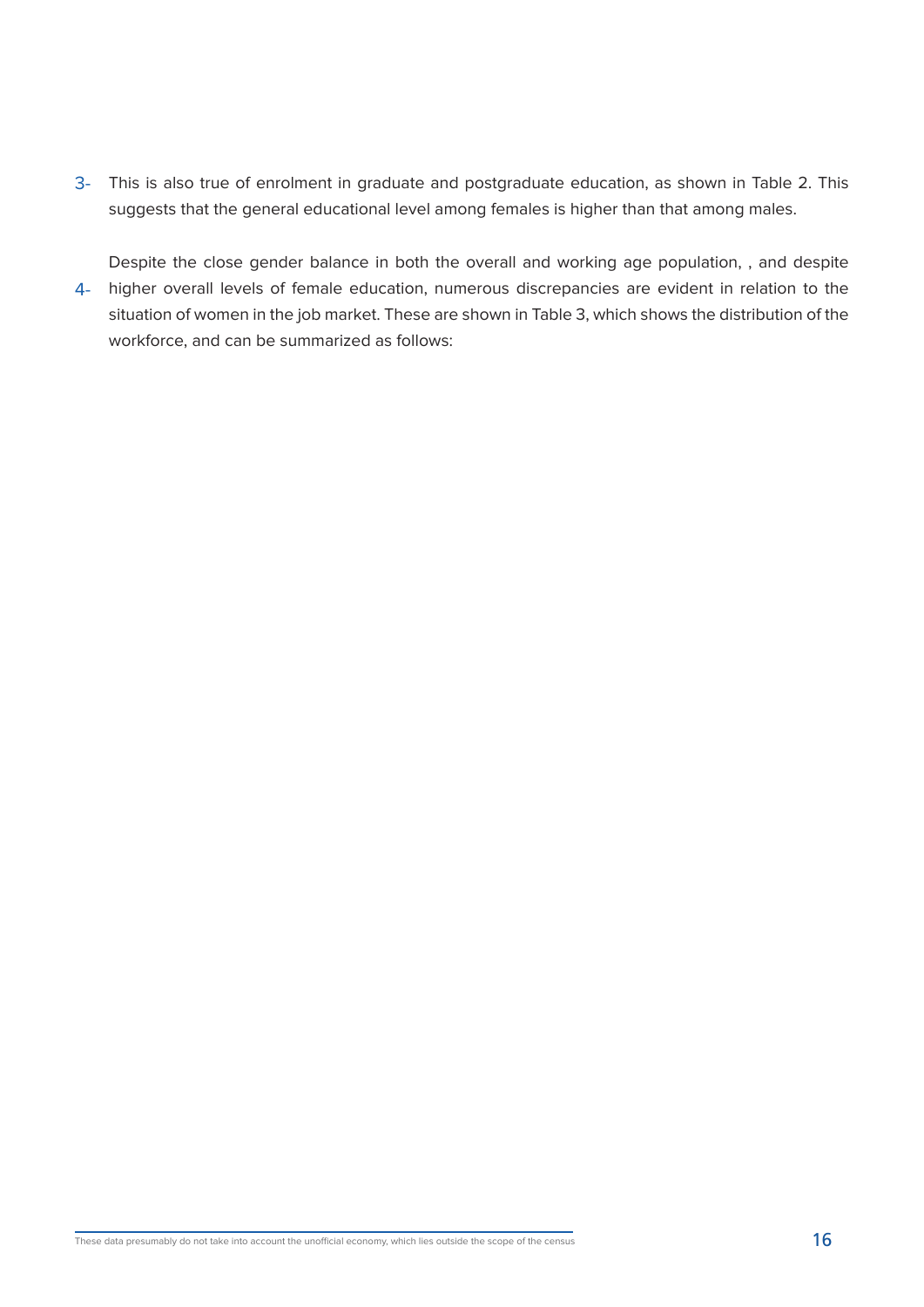3- This is also true of enrolment in graduate and postgraduate education, as shown in Table 2. This suggests that the general educational level among females is higher than that among males.

Despite the close gender balance in both the overall and working age population, , and despite 4- higher overall levels of female education, numerous discrepancies are evident in relation to the situation of women in the job market. These are shown in Table 3, which shows the distribution of the workforce, and can be summarized as follows: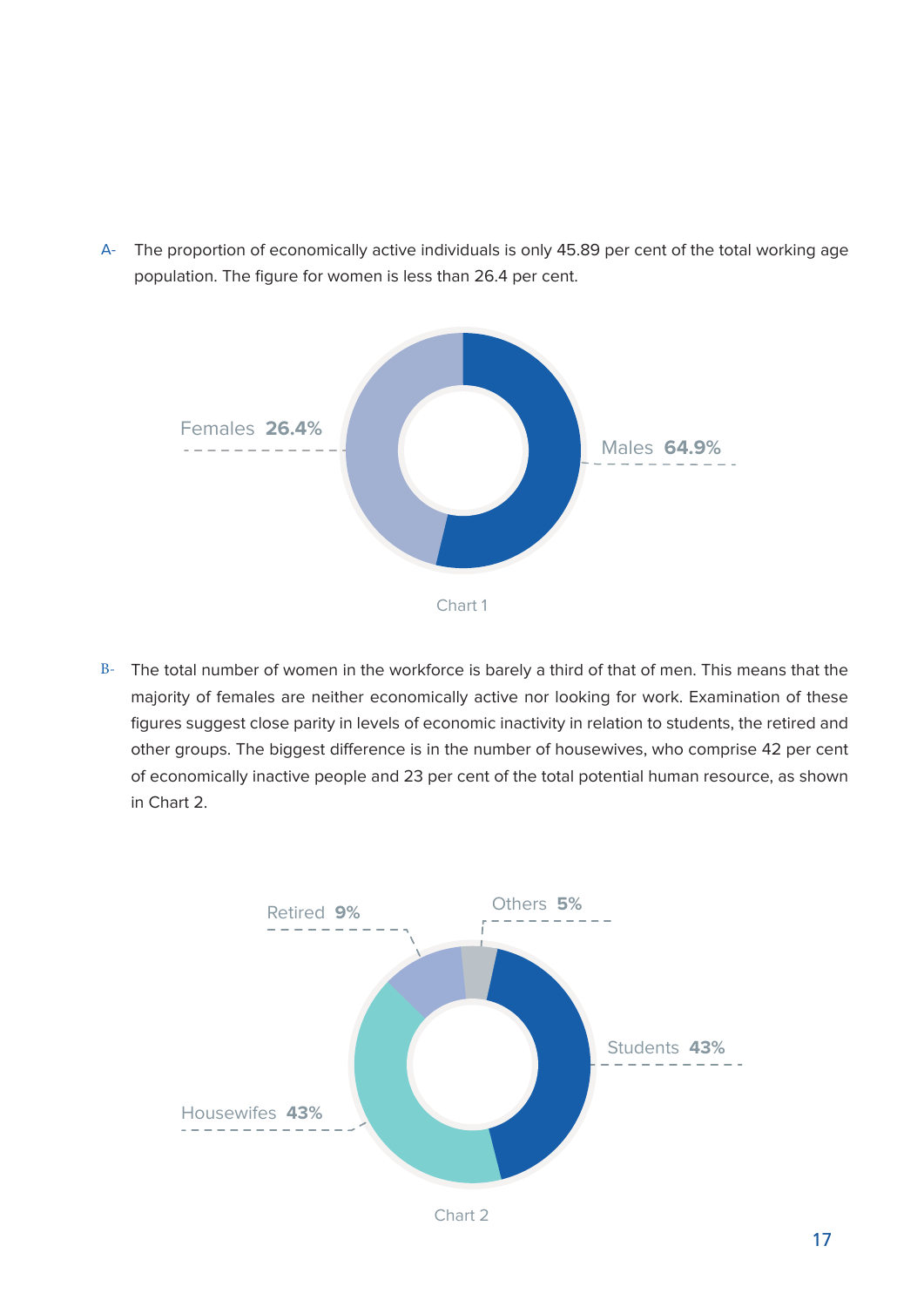

A- The proportion of economically active individuals is only 45.89 per cent of the total working age population. The figure for women is less than 26.4 per cent.

 $B-$  The total number of women in the workforce is barely a third of that of men. This means that the majority of females are neither economically active nor looking for work. Examination of these figures suggest close parity in levels of economic inactivity in relation to students, the retired and other groups. The biggest difference is in the number of housewives, who comprise 42 per cent of economically inactive people and 23 per cent of the total potential human resource, as shown in Chart 2.

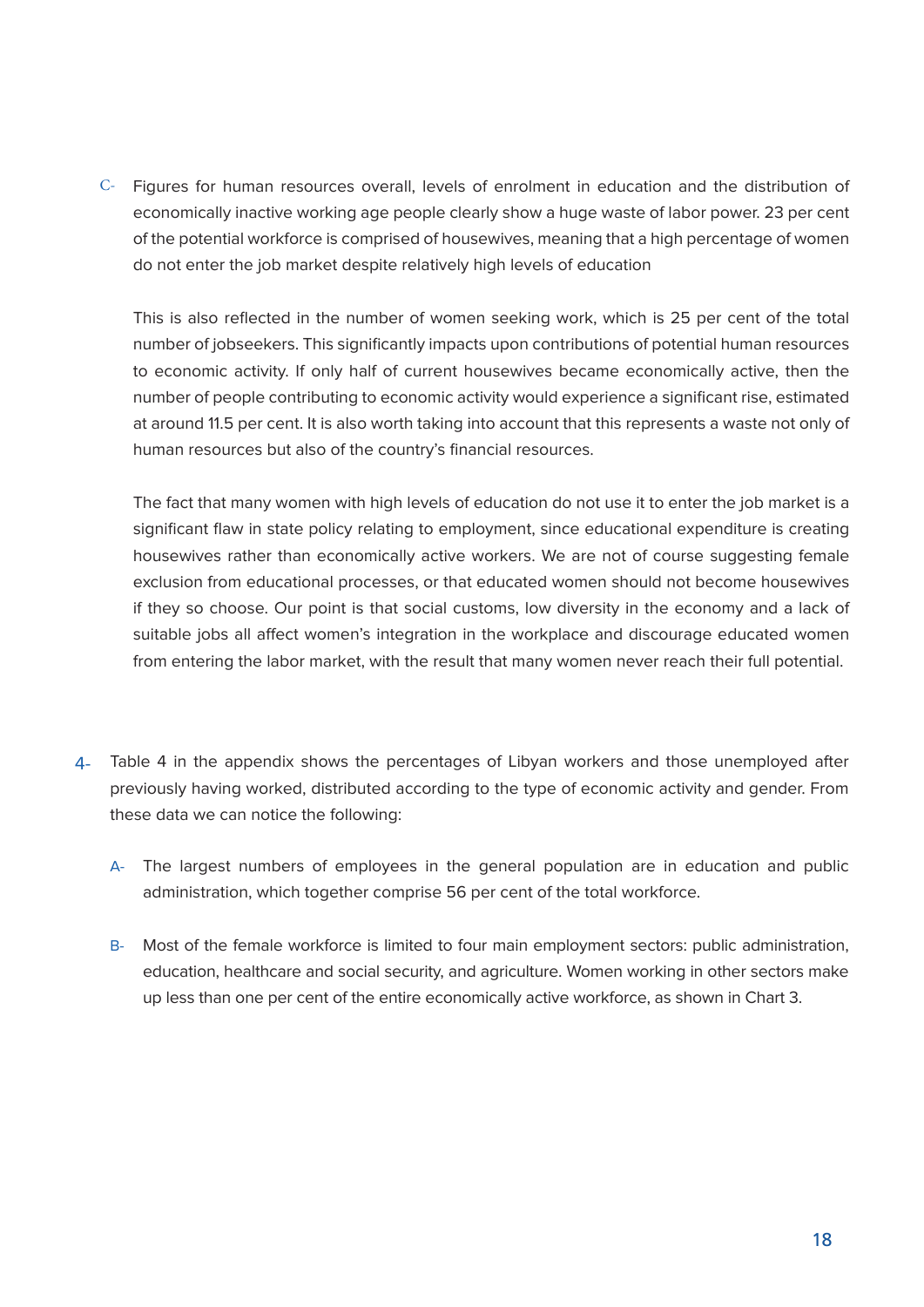C- Figures for human resources overall, levels of enrolment in education and the distribution of economically inactive working age people clearly show a huge waste of labor power. 23 per cent of the potential workforce is comprised of housewives, meaning that a high percentage of women do not enter the job market despite relatively high levels of education

This is also reflected in the number of women seeking work, which is 25 per cent of the total number of jobseekers. This significantly impacts upon contributions of potential human resources to economic activity. If only half of current housewives became economically active, then the number of people contributing to economic activity would experience a significant rise, estimated at around 11.5 per cent. It is also worth taking into account that this represents a waste not only of human resources but also of the country's financial resources.

The fact that many women with high levels of education do not use it to enter the job market is a significant flaw in state policy relating to employment, since educational expenditure is creating housewives rather than economically active workers. We are not of course suggesting female exclusion from educational processes, or that educated women should not become housewives if they so choose. Our point is that social customs, low diversity in the economy and a lack of suitable jobs all affect women's integration in the workplace and discourage educated women from entering the labor market, with the result that many women never reach their full potential. Figures for human resources overall, levels of enrolment in education and the distribution of<br>economically inactive working age people clearly show a huge waste of labor power. 23 per cent<br>do not enter the job market despi

- previously having worked, distributed according to the type of economic activity and gender. From these data we can notice the following: 4- Table 4 in the appendix shows the percentages of Libyan workers and those unemployed after
	- A- The largest numbers of employees in the general population are in education and public administration, which together comprise 56 per cent of the total workforce. A- $B-$
	- B- Most of the female workforce is limited to four main employment sectors: public administration, education, healthcare and social security, and agriculture. Women working in other sectors make up less than one per cent of the entire economically active workforce, as shown in Chart 3.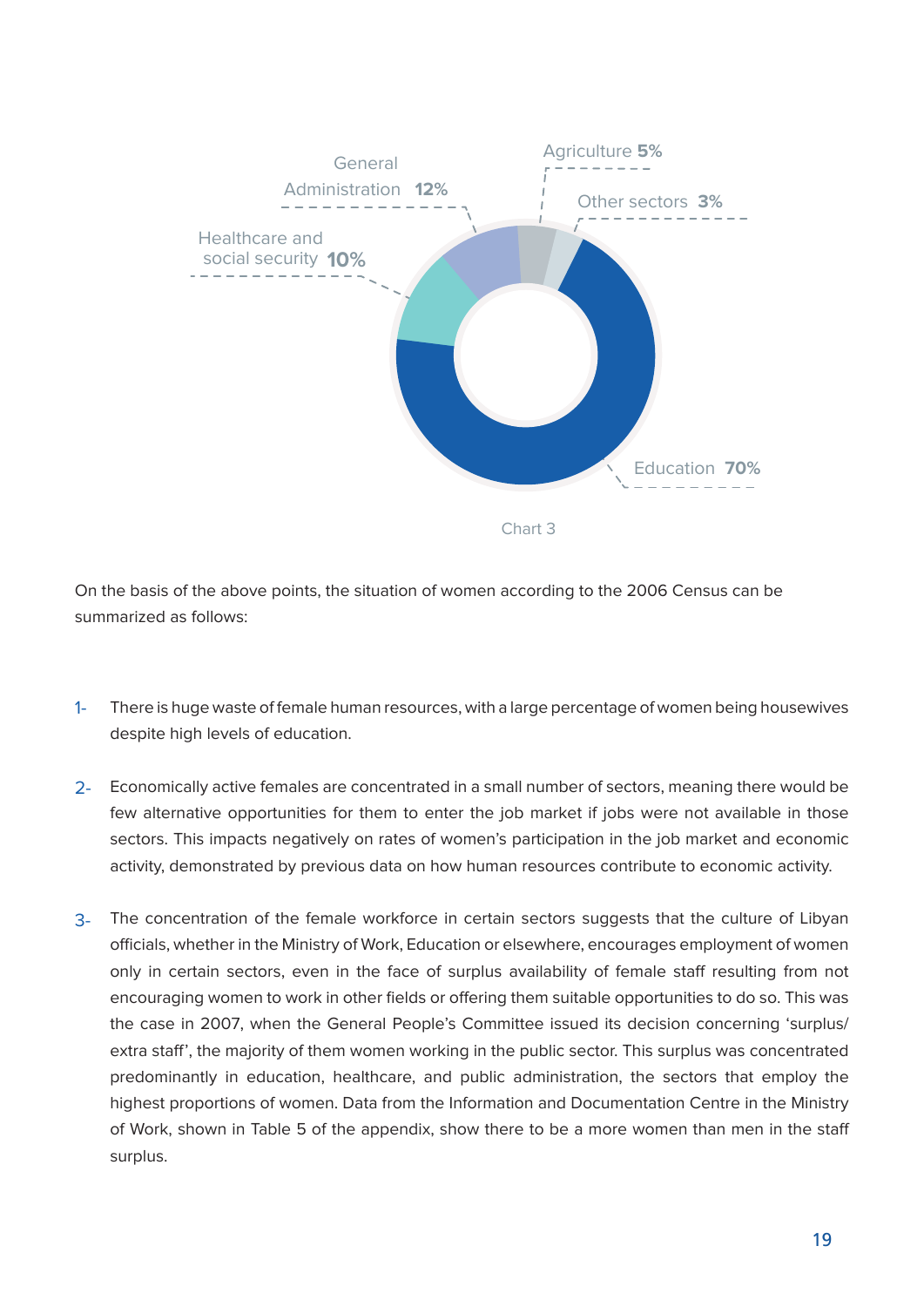

On the basis of the above points, the situation of women according to the 2006 Census can be summarized as follows:

- There is huge waste of female human resources, with a large percentage of women being housewives despite high levels of education.  $1 -$
- 2- Economically active females are concentrated in a small number of sectors, meaning there would be few alternative opportunities for them to enter the job market if jobs were not available in those sectors. This impacts negatively on rates of women's participation in the job market and economic activity, demonstrated by previous data on how human resources contribute to economic activity.
- The concentration of the female workforce in certain sectors suggests that the culture of Libyan officials, whether in the Ministry of Work, Education or elsewhere, encourages employment of women only in certain sectors, even in the face of surplus availability of female staff resulting from not encouraging women to work in other fields or offering them suitable opportunities to do so. This was the case in 2007, when the General People's Committee issued its decision concerning 'surplus/ extra staff', the majority of them women working in the public sector. This surplus was concentrated predominantly in education, healthcare, and public administration, the sectors that employ the highest proportions of women. Data from the Information and Documentation Centre in the Ministry of Work, shown in Table 5 of the appendix, show there to be a more women than men in the staff surplus. 3-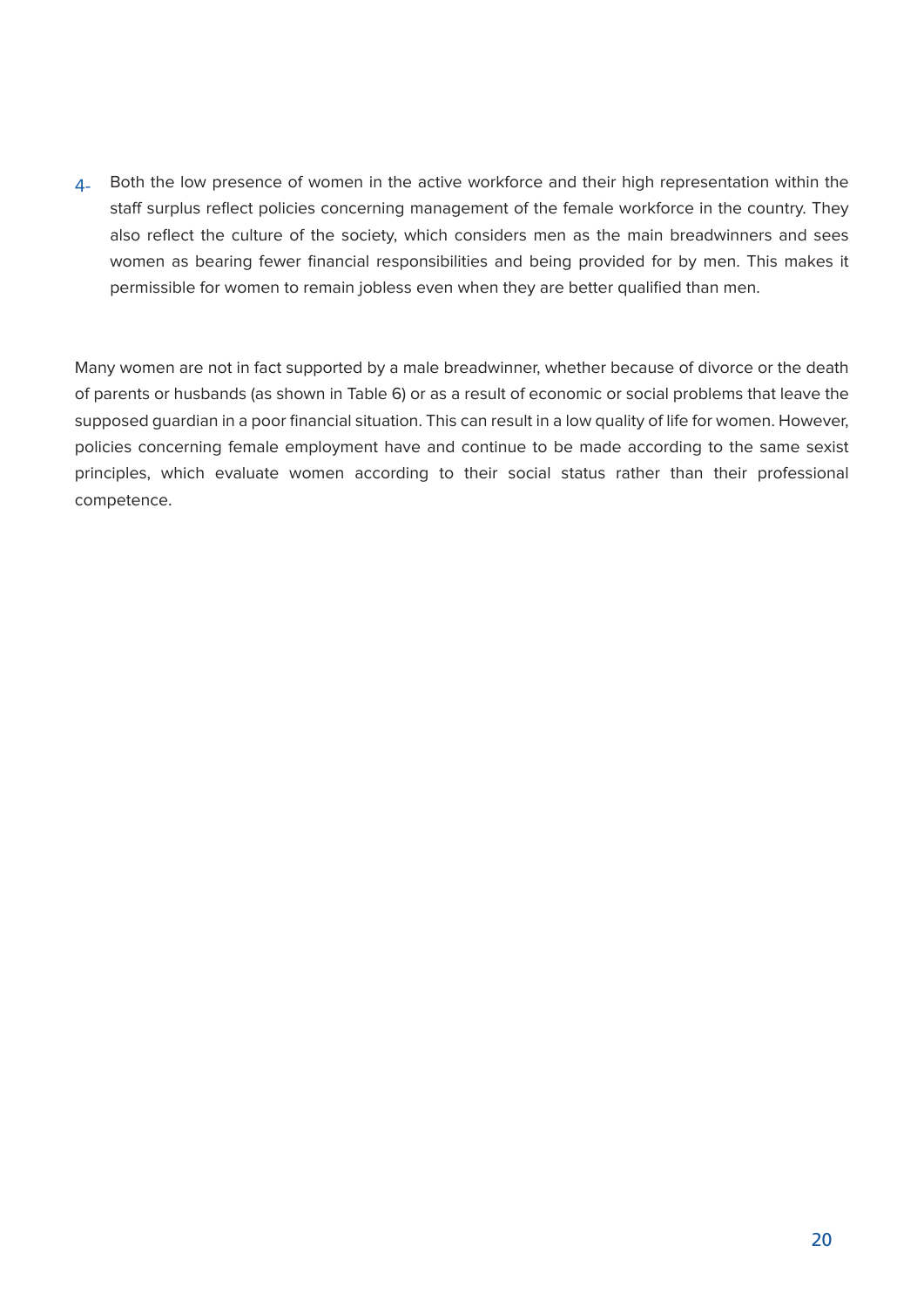$4$ - Both the low presence of women in the active workforce and their high representation within the staff surplus reflect policies concerning management of the female workforce in the country. They also reflect the culture of the society, which considers men as the main breadwinners and sees women as bearing fewer financial responsibilities and being provided for by men. This makes it permissible for women to remain jobless even when they are better qualified than men.

Many women are not in fact supported by a male breadwinner, whether because of divorce or the death of parents or husbands (as shown in Table 6) or as a result of economic or social problems that leave the supposed quardian in a poor financial situation. This can result in a low quality of life for women. However, policies concerning female employment have and continue to be made according to the same sexist principles, which evaluate women according to their social status rather than their professional .competence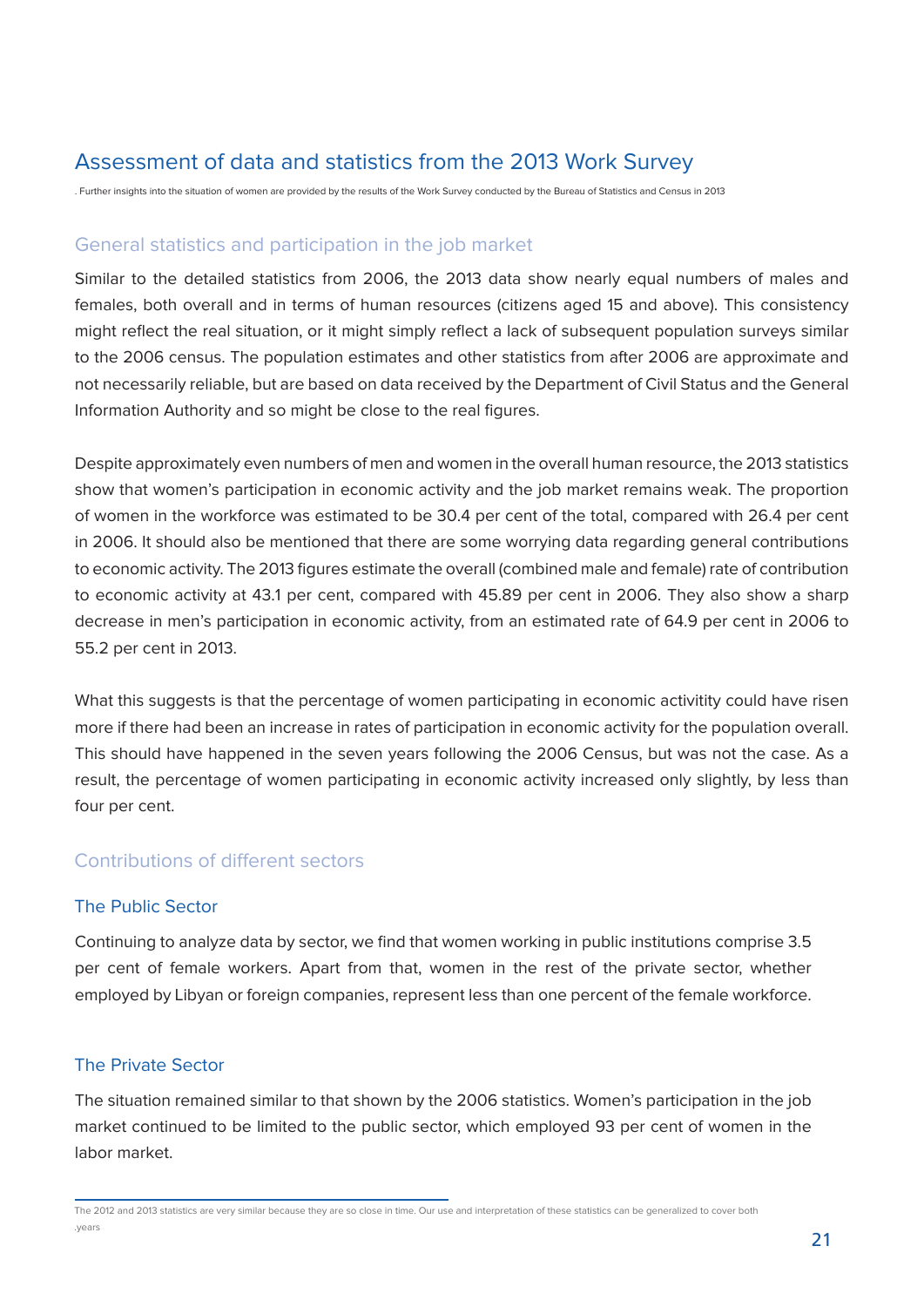#### Assessment of data and statistics from the 2013 Work Survey

. Further insights into the situation of women are provided by the results of the Work Survey conducted by the Bureau of Statistics and Census in 2013

#### General statistics and participation in the job market

Similar to the detailed statistics from 2006, the 2013 data show nearly equal numbers of males and females, both overall and in terms of human resources (citizens aged 15 and above). This consistency might reflect the real situation, or it might simply reflect a lack of subsequent population surveys similar to the 2006 census. The population estimates and other statistics from after 2006 are approximate and not necessarily reliable, but are based on data received by the Department of Civil Status and the General Information Authority and so might be close to the real figures.

Despite approximately even numbers of men and women in the overall human resource, the 2013 statistics show that women's participation in economic activity and the job market remains weak. The proportion of women in the workforce was estimated to be 30.4 per cent of the total, compared with 26.4 per cent in 2006. It should also be mentioned that there are some worrying data regarding general contributions to economic activity. The 2013 figures estimate the overall (combined male and female) rate of contribution to economic activity at 43.1 per cent, compared with 45.89 per cent in 2006. They also show a sharp decrease in men's participation in economic activity, from an estimated rate of 64.9 per cent in 2006 to 55.2 per cent in 2013.

What this suggests is that the percentage of women participating in economic activitity could have risen more if there had been an increase in rates of participation in economic activity for the population overall. This should have happened in the seven years following the 2006 Census, but was not the case. As a result, the percentage of women participating in economic activity increased only slightly, by less than four per cent.

#### Contributions of different sectors

#### The Public Sector

Continuing to analyze data by sector, we find that women working in public institutions comprise 3.5 per cent of female workers. Apart from that, women in the rest of the private sector, whether emploved by Libyan or foreign companies, represent less than one percent of the female workforce.

#### The Private Sector

The situation remained similar to that shown by the 2006 statistics. Women's participation in the job market continued to be limited to the public sector, which employed 93 per cent of women in the labor market.

The 2012 and 2013 statistics are very similar because they are so close in time. Our use and interpretation of these statistics can be generalized to cover both years.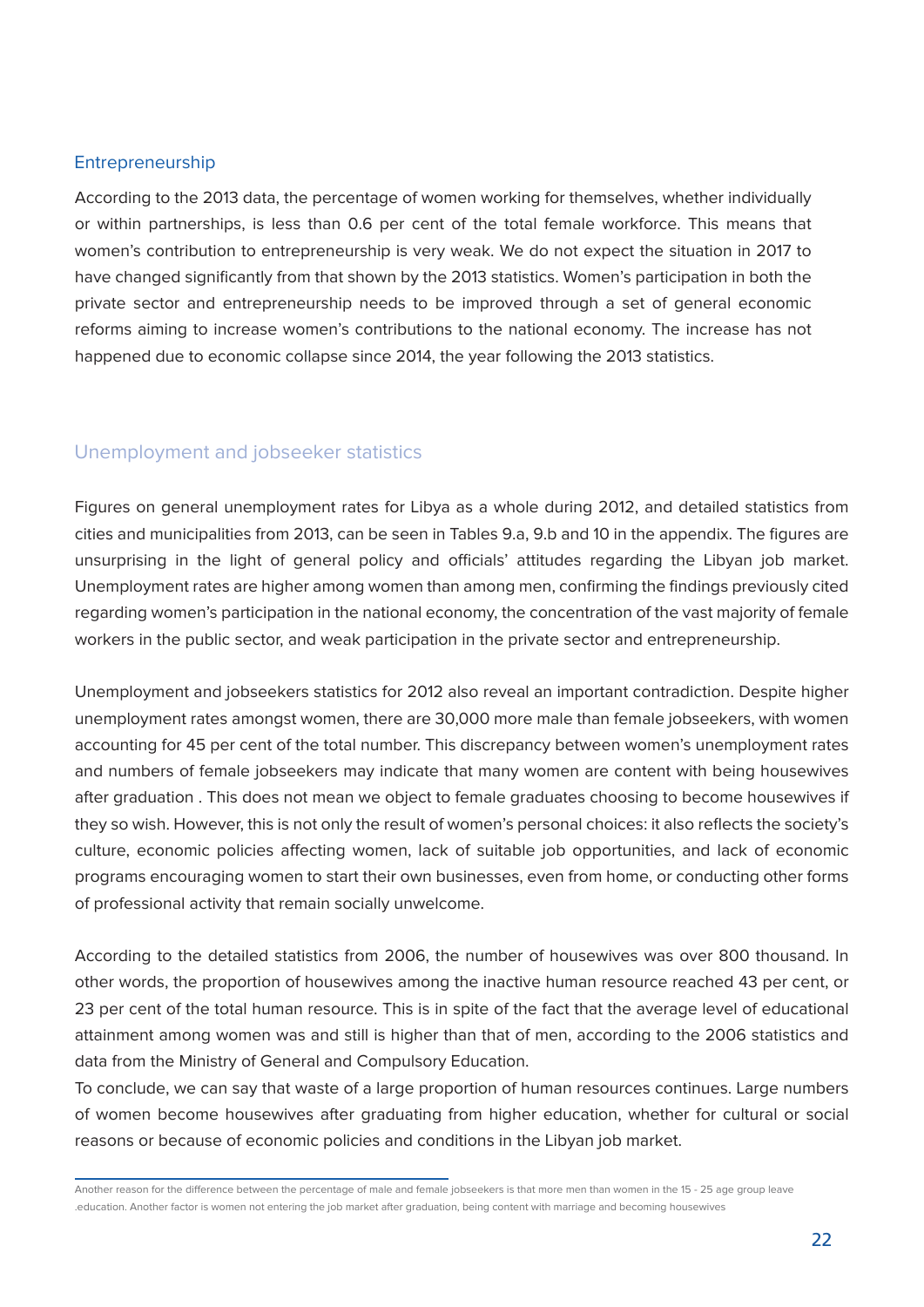#### Entrepreneurship

According to the 2013 data, the percentage of women working for themselves, whether individually or within partnerships, is less than 0.6 per cent of the total female workforce. This means that women's contribution to entrepreneurship is very weak. We do not expect the situation in 2017 to have changed significantly from that shown by the 2013 statistics. Women's participation in both the private sector and entrepreneurship needs to be improved through a set of general economic reforms aiming to increase women's contributions to the national economy. The increase has not happened due to economic collapse since 2014, the year following the 2013 statistics.

#### Unemployment and iobseeker statistics

Figures on general unemployment rates for Libya as a whole during 2012, and detailed statistics from cities and municipalities from 2013, can be seen in Tables 9.a, 9.b and 10 in the appendix. The figures are unsurprising in the light of general policy and officials' attitudes regarding the Libyan job market. Unemployment rates are higher among women than among men, confirming the findings previously cited regarding women's participation in the national economy, the concentration of the vast majority of female workers in the public sector, and weak participation in the private sector and entrepreneurship.

Unemployment and jobseekers statistics for 2012 also reveal an important contradiction. Despite higher unemployment rates amongst women, there are 30,000 more male than female jobseekers, with women accounting for 45 per cent of the total number. This discrepancy between women's unemployment rates and numbers of female jobseekers may indicate that many women are content with being housewives after graduation . This does not mean we object to female graduates choosing to become housewives if they so wish. However, this is not only the result of women's personal choices: it also reflects the society's culture, economic policies affecting women, lack of suitable job opportunities, and lack of economic programs encouraging women to start their own businesses, even from home, or conducting other forms of professional activity that remain socially unwelcome.

According to the detailed statistics from 2006, the number of housewives was over 800 thousand. In other words, the proportion of housewives among the inactive human resource reached 43 per cent, or 23 per cent of the total human resource. This is in spite of the fact that the average level of educational attainment among women was and still is higher than that of men, according to the 2006 statistics and data from the Ministry of General and Compulsory Education.

To conclude, we can say that waste of a large proportion of human resources continues. Large numbers of women become housewives after graduating from higher education, whether for cultural or social reasons or because of economic policies and conditions in the Libyan job market.

Another reason for the difference between the percentage of male and female iobseekers is that more men than women in the 15 - 25 age group leave .education. Another factor is women not entering the job market after graduation, being content with marriage and becoming housewives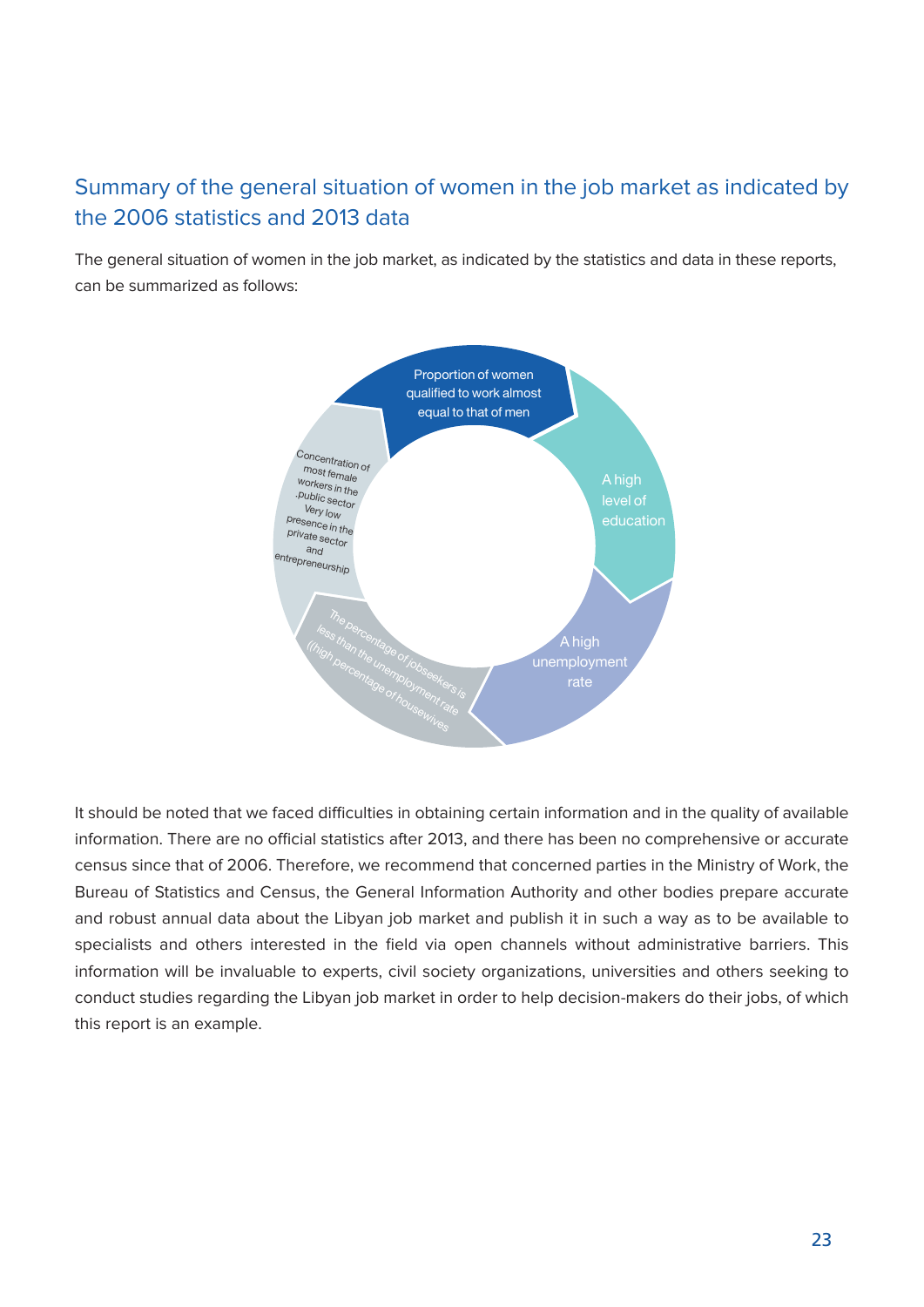### Summary of the general situation of women in the job market as indicated by the 2006 statistics and 2013 data

The general situation of women in the job market, as indicated by the statistics and data in these reports, can be summarized as follows:



It should be noted that we faced difficulties in obtaining certain information and in the quality of available information. There are no official statistics after 2013, and there has been no comprehensive or accurate census since that of 2006. Therefore, we recommend that concerned parties in the Ministry of Work, the Bureau of Statistics and Census, the General Information Authority and other bodies prepare accurate and robust annual data about the Libyan job market and publish it in such a way as to be available to specialists and others interested in the field via open channels without administrative barriers. This information will be invaluable to experts, civil society organizations, universities and others seeking to conduct studies regarding the Libyan job market in order to help decision-makers do their jobs, of which this report is an example.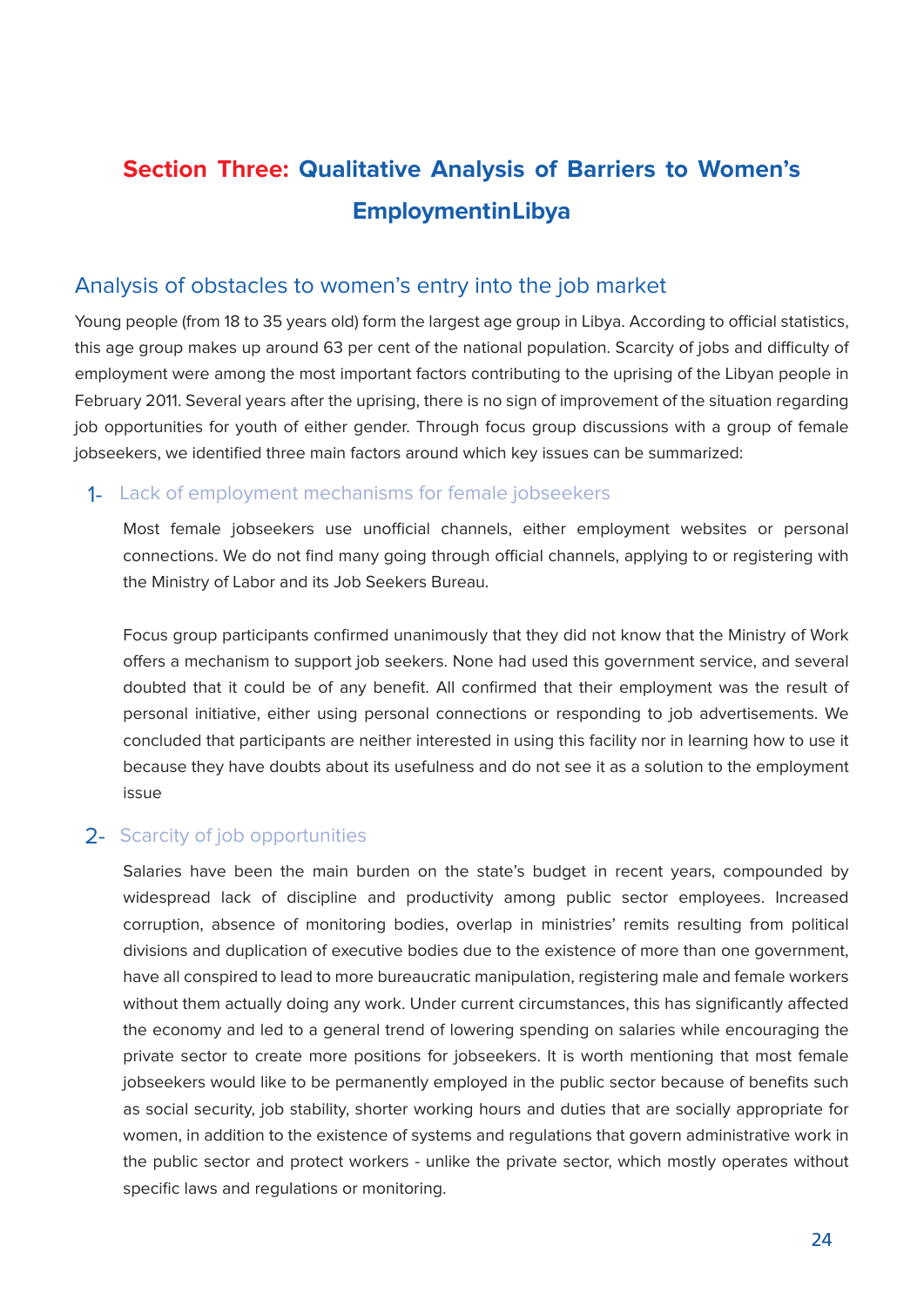## **Section Three: Qualitative Analysis of Barriers to Women's Employmentin Libya**

#### Analysis of obstacles to women's entry into the job market

Young people (from 18 to 35 years old) form the largest age group in Libya. According to official statistics, this age group makes up around 63 per cent of the national population. Scarcity of jobs and difficulty of employment were among the most important factors contributing to the uprising of the Libyan people in February 2011. Several years after the uprising, there is no sign of improvement of the situation regarding job opportunities for youth of either gender. Through focus group discussions with a group of female iobseekers, we identified three main factors around which key issues can be summarized:

#### 1- Lack of employment mechanisms for female jobseekers

Most female jobseekers use unofficial channels, either employment websites or personal connections. We do not find many going through official channels, applying to or registering with the Ministry of Labor and its Job Seekers Bureau.

Focus group participants confirmed unanimously that they did not know that the Ministry of Work offers a mechanism to support job seekers. None had used this government service, and several doubted that it could be of any benefit. All confirmed that their employment was the result of personal initiative, either using personal connections or responding to job advertisements. We concluded that participants are neither interested in using this facility nor in learning how to use it because they have doubts about its usefulness and do not see it as a solution to the employment issue

#### 2- Scarcity of job opportunities

Salaries have been the main burden on the state's budget in recent years, compounded by widespread lack of discipline and productivity among public sector employees. Increased corruption, absence of monitoring bodies, overlap in ministries' remits resulting from political divisions and duplication of executive bodies due to the existence of more than one government, have all conspired to lead to more bureaucratic manipulation, registering male and female workers without them actually doing any work. Under current circumstances, this has significantly affected the economy and led to a general trend of lowering spending on salaries while encouraging the private sector to create more positions for jobseekers. It is worth mentioning that most female jobseekers would like to be permanently employed in the public sector because of benefits such as social security, job stability, shorter working hours and duties that are socially appropriate for women, in addition to the existence of systems and regulations that govern administrative work in the public sector and protect workers - unlike the private sector, which mostly operates without specific laws and regulations or monitoring.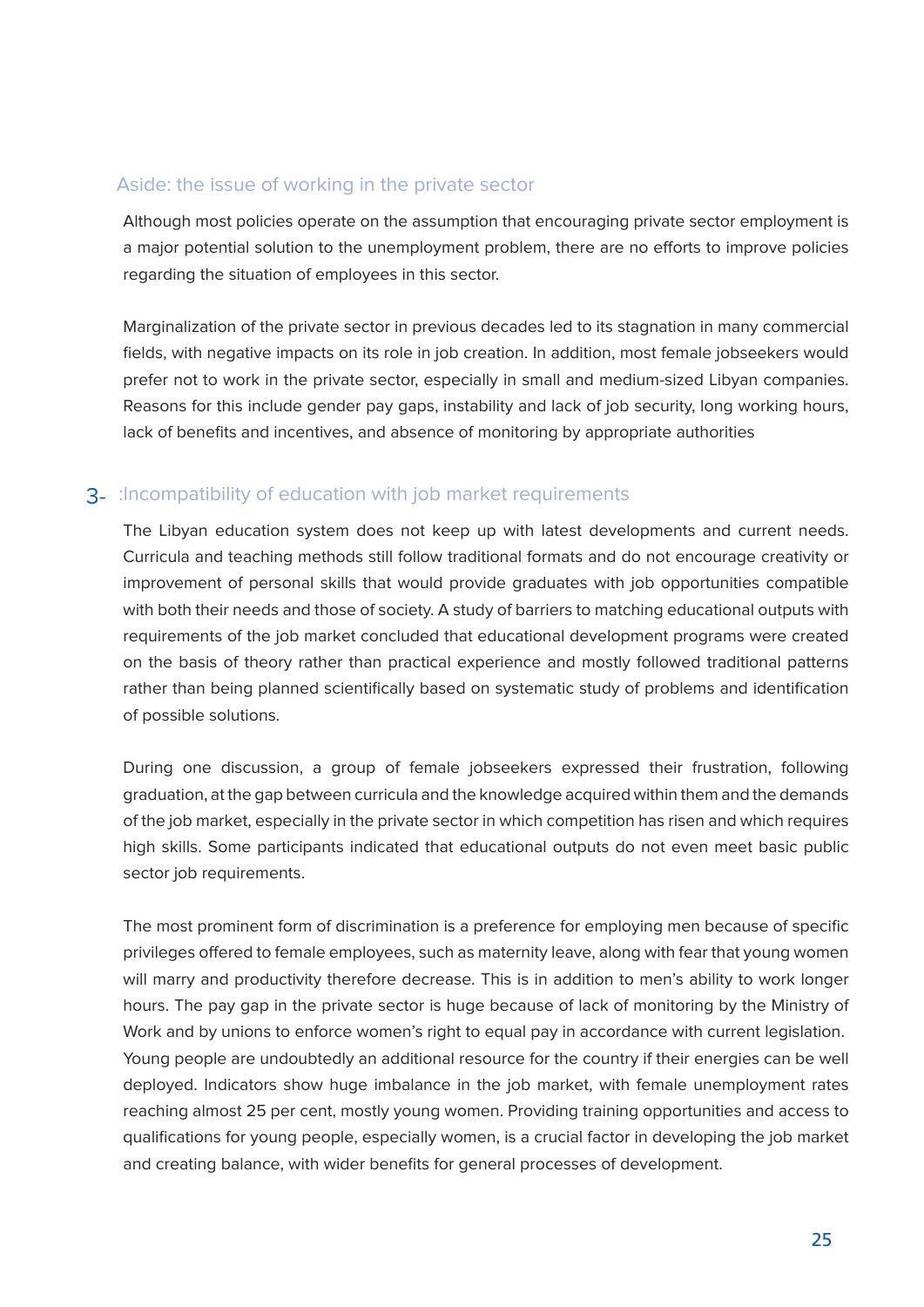#### Aside: the issue of working in the private sector

Although most policies operate on the assumption that encouraging private sector employment is a major potential solution to the unemployment problem, there are no efforts to improve policies regarding the situation of employees in this sector.

Marginalization of the private sector in previous decades led to its stagnation in many commercial fields, with negative impacts on its role in job creation. In addition, most female jobseekers would prefer not to work in the private sector, especially in small and medium-sized Libyan companies. Reasons for this include gender pay gaps, instability and lack of job security, long working hours, lack of benefits and incentives, and absence of monitoring by appropriate authorities

#### 3- : Incompatibility of education with job market requirements

The Libyan education system does not keep up with latest developments and current needs. Curricula and teaching methods still follow traditional formats and do not encourage creativity or improvement of personal skills that would provide graduates with job opportunities compatible with both their needs and those of society. A study of barriers to matching educational outputs with requirements of the job market concluded that educational development programs were created on the basis of theory rather than practical experience and mostly followed traditional patterns rather than being planned scientifically based on systematic study of problems and identification of possible solutions.

During one discussion, a group of female jobseekers expressed their frustration, following graduation, at the gap between curricula and the knowledge acquired within them and the demands of the job market, especially in the private sector in which competition has risen and which requires high skills. Some participants indicated that educational outputs do not even meet basic public sector job requirements.

The most prominent form of discrimination is a preference for employing men because of specific privileges offered to female employees, such as maternity leave, along with fear that young women will marry and productivity therefore decrease. This is in addition to men's ability to work longer hours. The pay gap in the private sector is huge because of lack of monitoring by the Ministry of Work and by unions to enforce women's right to equal pay in accordance with current legislation. Young people are undoubtedly an additional resource for the country if their energies can be well deployed. Indicators show huge imbalance in the job market, with female unemployment rates reaching almost 25 per cent, mostly young women. Providing training opportunities and access to qualifications for young people, especially women, is a crucial factor in developing the job market and creating balance, with wider benefits for general processes of development.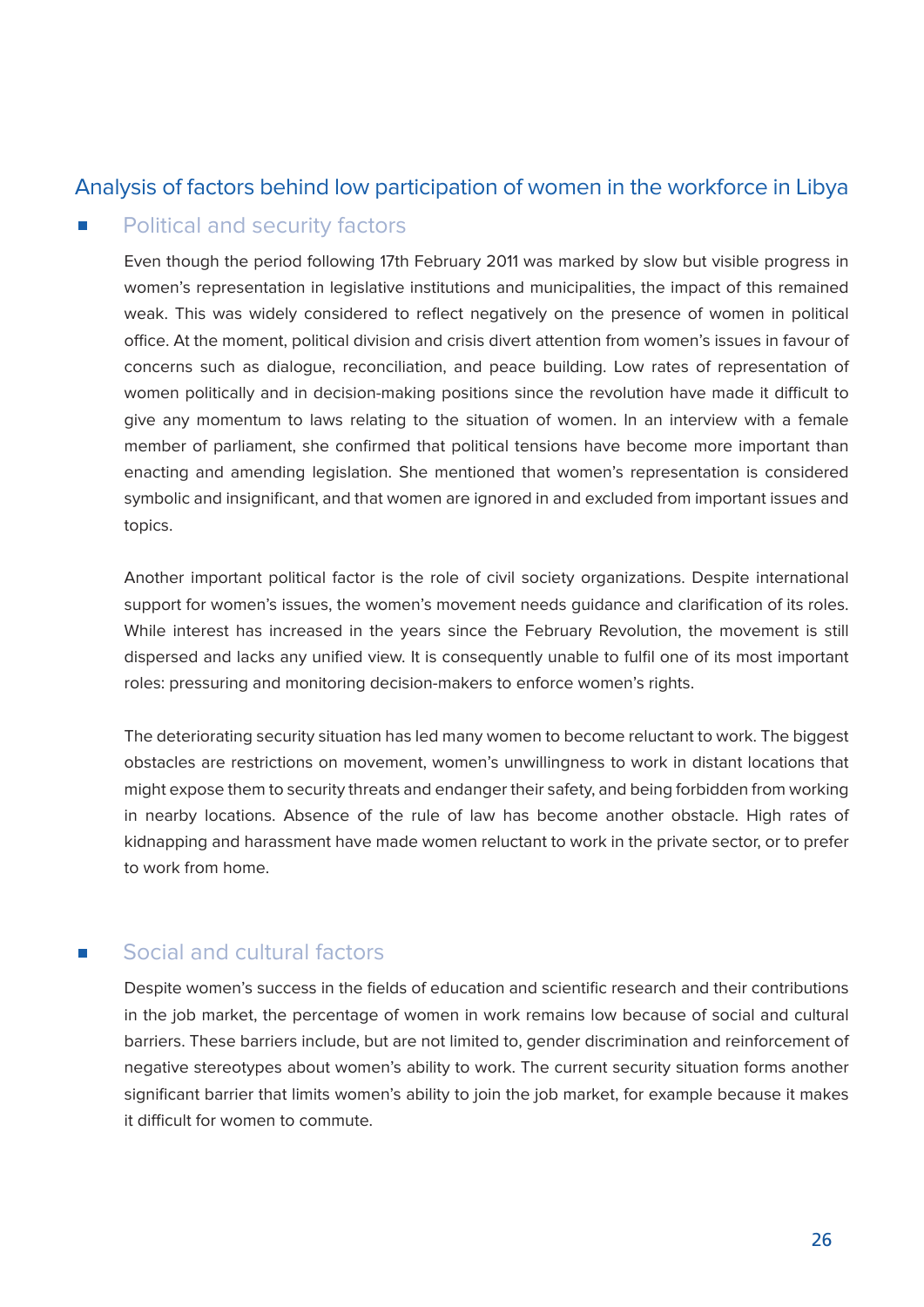#### Analysis of factors behind low participation of women in the workforce in Libya

#### Political and security factors

Even though the period following 17th February 2011 was marked by slow but visible progress in women's representation in legislative institutions and municipalities, the impact of this remained weak. This was widely considered to reflect negatively on the presence of women in political office. At the moment, political division and crisis divert attention from women's issues in favour of concerns such as dialogue, reconciliation, and peace building. Low rates of representation of women politically and in decision-making positions since the revolution have made it difficult to give any momentum to laws relating to the situation of women. In an interview with a female member of parliament, she confirmed that political tensions have become more important than enacting and amending legislation. She mentioned that women's representation is considered symbolic and insignificant, and that women are ignored in and excluded from important issues and topics.

Another important political factor is the role of civil society organizations. Despite international support for women's issues, the women's movement needs quidance and clarification of its roles. While interest has increased in the years since the February Revolution, the movement is still dispersed and lacks any unified view. It is consequently unable to fulfil one of its most important roles: pressuring and monitoring decision-makers to enforce women's rights.

The deteriorating security situation has led many women to become reluctant to work. The biggest obstacles are restrictions on movement, women's unwillingness to work in distant locations that might expose them to security threats and endanger their safety, and being forbidden from working in nearby locations. Absence of the rule of law has become another obstacle. High rates of kidnapping and harassment have made women reluctant to work in the private sector, or to prefer to work from home

#### Social and cultural factors

Despite women's success in the fields of education and scientific research and their contributions in the job market, the percentage of women in work remains low because of social and cultural barriers. These barriers include, but are not limited to, gender discrimination and reinforcement of negative stereotypes about women's ability to work. The current security situation forms another significant barrier that limits women's ability to join the job market, for example because it makes it difficult for women to commute.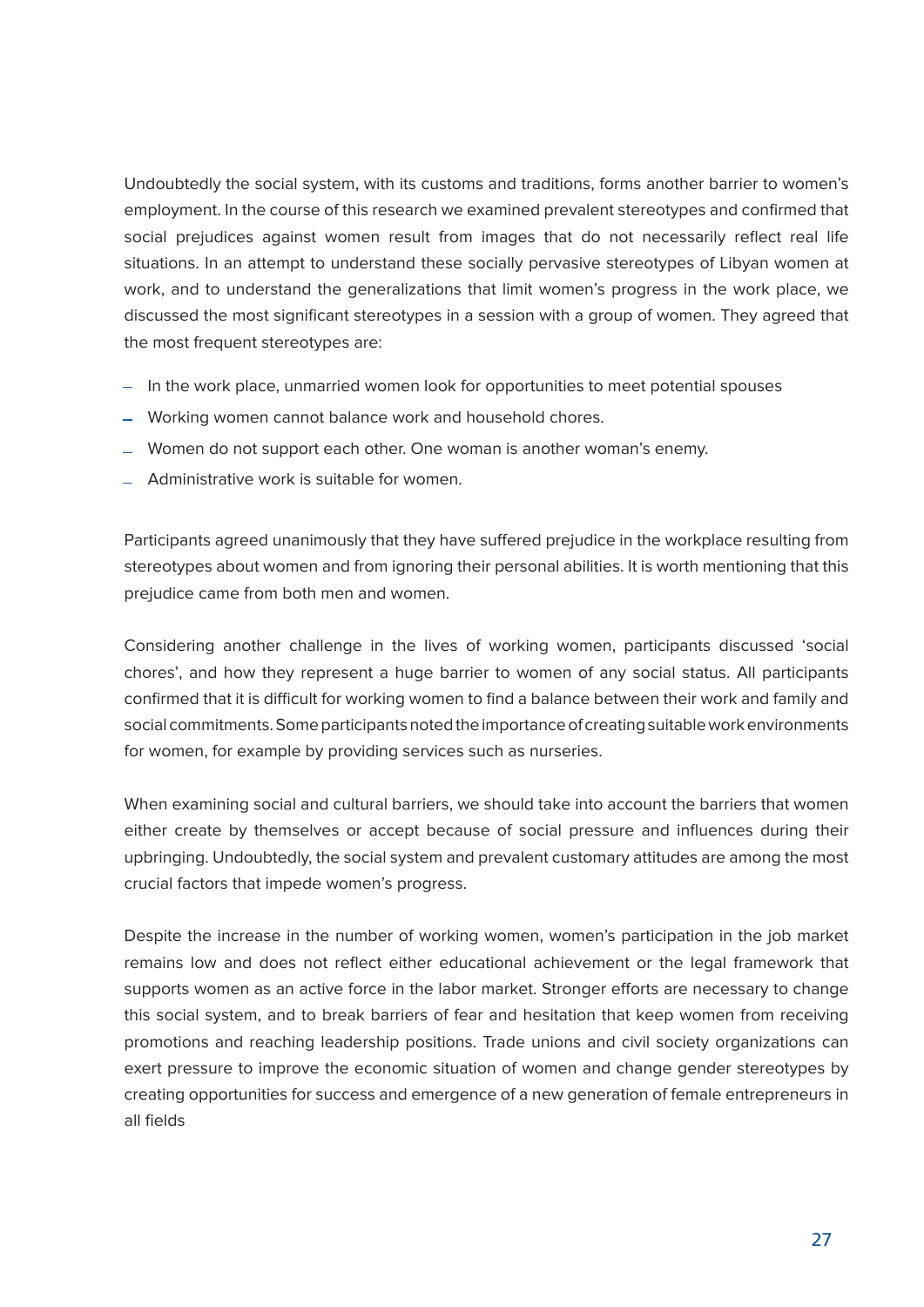Undoubtedly the social system, with its customs and traditions, forms another barrier to women's employment. In the course of this research we examined prevalent stereotypes and confirmed that social prejudices against women result from images that do not necessarily reflect real life situations. In an attempt to understand these socially pervasive stereotypes of Libyan women at work, and to understand the generalizations that limit women's progress in the work place, we discussed the most significant stereotypes in a session with a group of women. They agreed that the most frequent stereotypes are:

- In the work place, unmarried women look for opportunities to meet potential spouses
- Working women cannot balance work and household chores.
- Women do not support each other. One woman is another woman's enemy.
- Administrative work is suitable for women.

Participants agreed unanimously that they have suffered prejudice in the workplace resulting from stereotypes about women and from ignoring their personal abilities. It is worth mentioning that this prejudice came from both men and women.

Considering another challenge in the lives of working women, participants discussed 'social chores', and how they represent a huge barrier to women of any social status. All participants confirmed that it is difficult for working women to find a balance between their work and family and social commitments. Some participants noted the importance of creating suitable work environments for women, for example by providing services such as nurseries.

When examining social and cultural barriers, we should take into account the barriers that women either create by themselves or accept because of social pressure and influences during their upbringing. Undoubtedly, the social system and prevalent customary attitudes are among the most crucial factors that impede women's progress.

Despite the increase in the number of working women, women's participation in the job market remains low and does not reflect either educational achievement or the legal framework that supports women as an active force in the labor market. Stronger efforts are necessary to change this social system, and to break barriers of fear and hesitation that keep women from receiving promotions and reaching leadership positions. Trade unions and civil society organizations can exert pressure to improve the economic situation of women and change gender stereotypes by creating opportunities for success and emergence of a new generation of female entrepreneurs in all fields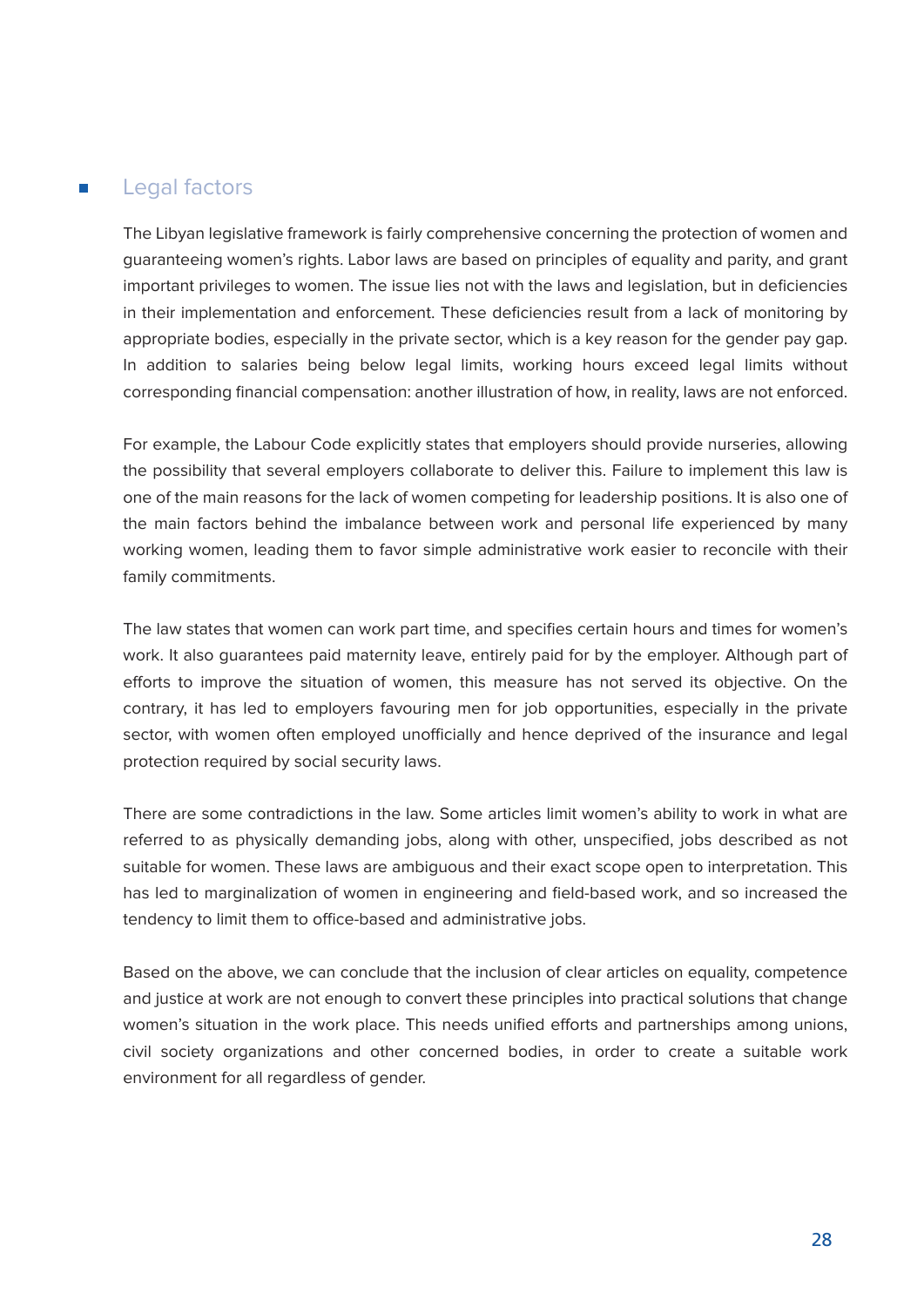#### Legal factors

The Libyan legislative framework is fairly comprehensive concerning the protection of women and guaranteeing women's rights. Labor laws are based on principles of equality and parity, and grant important privileges to women. The issue lies not with the laws and legislation, but in deficiencies in their implementation and enforcement. These deficiencies result from a lack of monitoring by appropriate bodies, especially in the private sector, which is a key reason for the gender pay gap. In addition to salaries being below legal limits, working hours exceed legal limits without corresponding financial compensation: another illustration of how, in reality, laws are not enforced.

For example, the Labour Code explicitly states that employers should provide nurseries, allowing the possibility that several employers collaborate to deliver this. Failure to implement this law is one of the main reasons for the lack of women competing for leadership positions. It is also one of the main factors behind the imbalance between work and personal life experienced by many working women, leading them to favor simple administrative work easier to reconcile with their family commitments.

The law states that women can work part time, and specifies certain hours and times for women's work. It also guarantees paid maternity leave, entirely paid for by the employer. Although part of efforts to improve the situation of women, this measure has not served its objective. On the contrary, it has led to employers favouring men for job opportunities, especially in the private sector, with women often employed unofficially and hence deprived of the insurance and legal protection required by social security laws.

There are some contradictions in the law. Some articles limit women's ability to work in what are referred to as physically demanding jobs, along with other, unspecified, jobs described as not suitable for women. These laws are ambiguous and their exact scope open to interpretation. This has led to marginalization of women in engineering and field-based work, and so increased the tendency to limit them to office-based and administrative jobs.

Based on the above, we can conclude that the inclusion of clear articles on equality, competence and justice at work are not enough to convert these principles into practical solutions that change women's situation in the work place. This needs unified efforts and partnerships among unions, civil society organizations and other concerned bodies, in order to create a suitable work environment for all regardless of gender.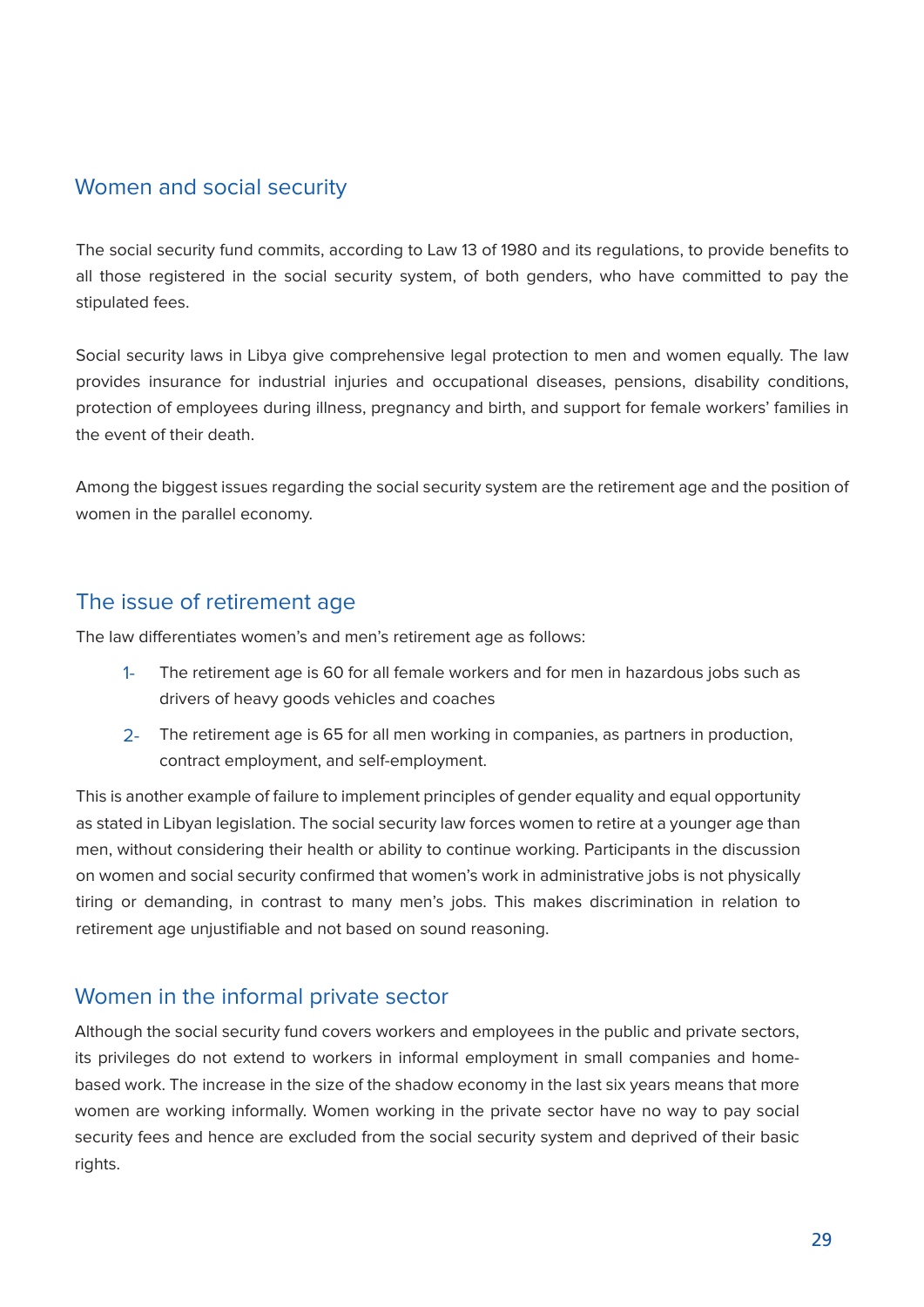#### Women and social security

The social security fund commits, according to Law 13 of 1980 and its regulations, to provide benefits to all those registered in the social security system, of both genders, who have committed to pay the stipulated fees.

Social security laws in Libya give comprehensive legal protection to men and women equally. The law provides insurance for industrial injuries and occupational diseases, pensions, disability conditions, protection of employees during illness, pregnancy and birth, and support for female workers' families in the event of their death.

Among the biggest issues regarding the social security system are the retirement age and the position of women in the parallel economy.

#### The issue of retirement age

The law differentiates women's and men's retirement age as follows:

- The retirement age is 60 for all female workers and for men in hazardous jobs such as drivers of heavy goods vehicles and coaches 1-
- 2- The retirement age is 65 for all men working in companies, as partners in production, contract employment, and self-employment.

This is another example of failure to implement principles of gender equality and equal opportunity as stated in Libyan legislation. The social security law forces women to retire at a younger age than men, without considering their health or ability to continue working. Participants in the discussion on women and social security confirmed that women's work in administrative iobs is not physically tiring or demanding, in contrast to many men's jobs. This makes discrimination in relation to retirement age unjustifiable and not based on sound reasoning.

#### Women in the informal private sector

Although the social security fund covers workers and employees in the public and private sectors. based work. The increase in the size of the shadow economy in the last six years means that more its privileges do not extend to workers in informal employment in small companies and homewomen are working informally. Women working in the private sector have no way to pay social security fees and hence are excluded from the social security system and deprived of their basic rights.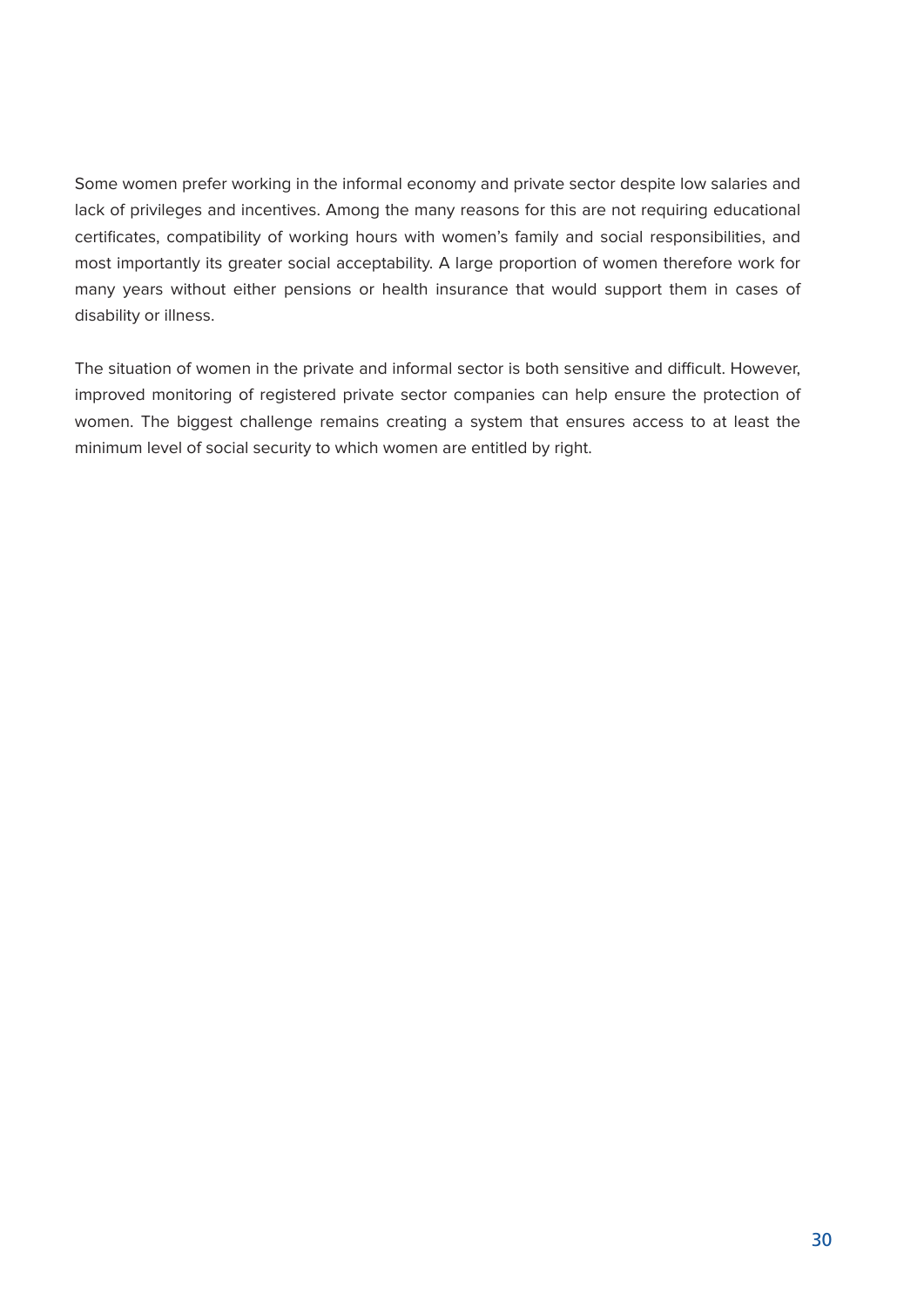Some women prefer working in the informal economy and private sector despite low salaries and lack of privileges and incentives. Among the many reasons for this are not requiring educational certificates, compatibility of working hours with women's family and social responsibilities, and most importantly its greater social acceptability. A large proportion of women therefore work for many years without either pensions or health insurance that would support them in cases of disability or illness.

The situation of women in the private and informal sector is both sensitive and difficult. However, improved monitoring of registered private sector companies can help ensure the protection of women. The biggest challenge remains creating a system that ensures access to at least the minimum level of social security to which women are entitled by right.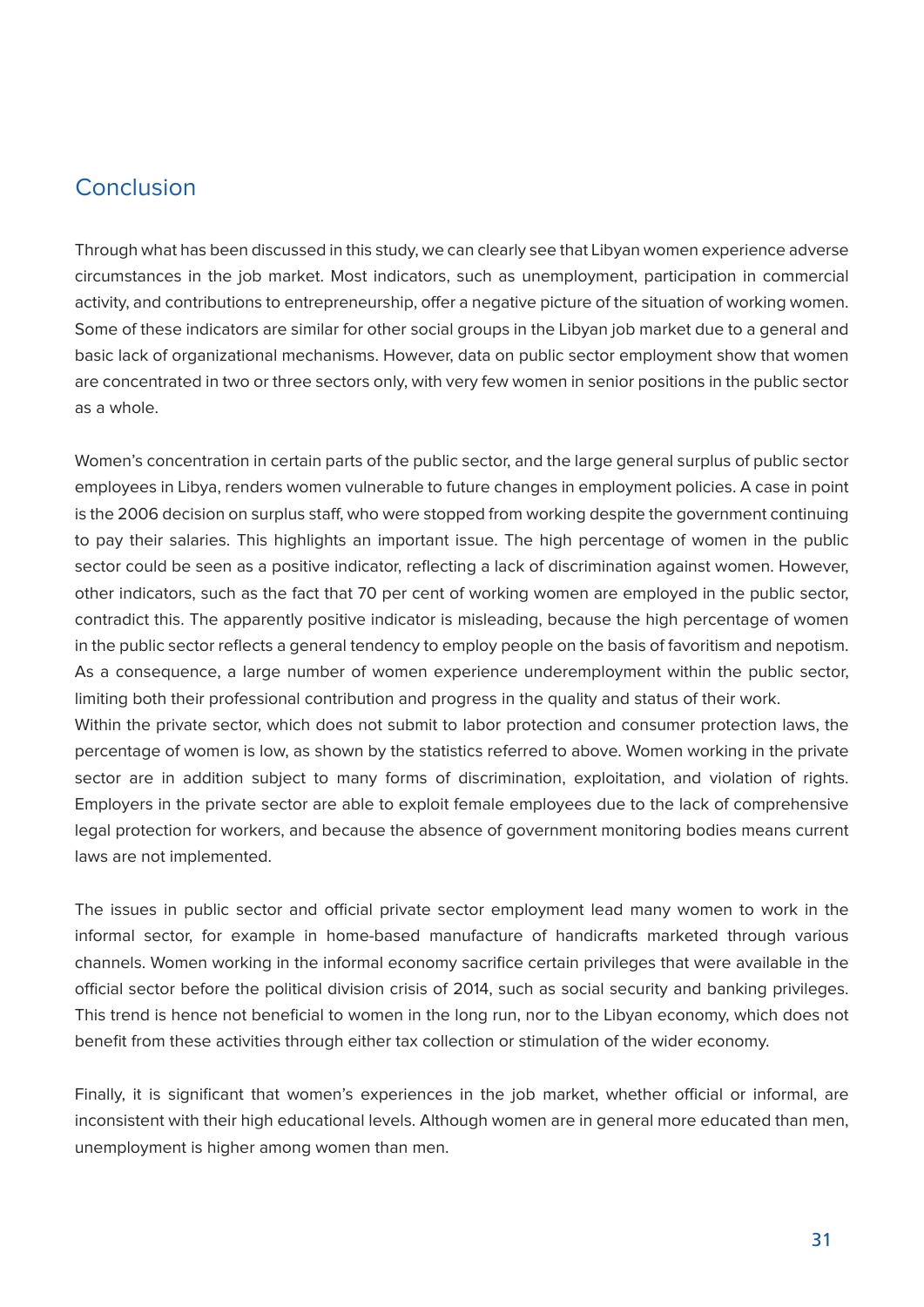#### Conclusion

Through what has been discussed in this study, we can clearly see that Libyan women experience adverse circumstances in the job market. Most indicators, such as unemployment, participation in commercial activity, and contributions to entrepreneurship, offer a negative picture of the situation of working women. Some of these indicators are similar for other social groups in the Libyan job market due to a general and basic lack of organizational mechanisms. However, data on public sector employment show that women are concentrated in two or three sectors only, with very few women in senior positions in the public sector as a whole.

Women's concentration in certain parts of the public sector, and the large general surplus of public sector employees in Libya, renders women vulnerable to future changes in employment policies. A case in point is the 2006 decision on surplus staff, who were stopped from working despite the government continuing to pay their salaries. This highlights an important issue. The high percentage of women in the public sector could be seen as a positive indicator, reflecting a lack of discrimination against women. However, other indicators, such as the fact that 70 per cent of working women are employed in the public sector, contradict this. The apparently positive indicator is misleading, because the high percentage of women in the public sector reflects a general tendency to employ people on the basis of favoritism and nepotism. As a consequence, a large number of women experience underemployment within the public sector. limiting both their professional contribution and progress in the quality and status of their work. Within the private sector, which does not submit to labor protection and consumer protection laws, the

percentage of women is low, as shown by the statistics referred to above. Women working in the private sector are in addition subject to many forms of discrimination, exploitation, and violation of rights. Employers in the private sector are able to exploit female employees due to the lack of comprehensive legal protection for workers, and because the absence of government monitoring bodies means current laws are not implemented.

The issues in public sector and official private sector employment lead many women to work in the informal sector, for example in home-based manufacture of handicrafts marketed through various channels. Women working in the informal economy sacrifice certain privileges that were available in the official sector before the political division crisis of 2014, such as social security and banking privileges. This trend is hence not beneficial to women in the long run, nor to the Libyan economy, which does not benefit from these activities through either tax collection or stimulation of the wider economy.

Finally, it is significant that women's experiences in the job market, whether official or informal, are inconsistent with their high educational levels. Although women are in general more educated than men, unemployment is higher among women than men.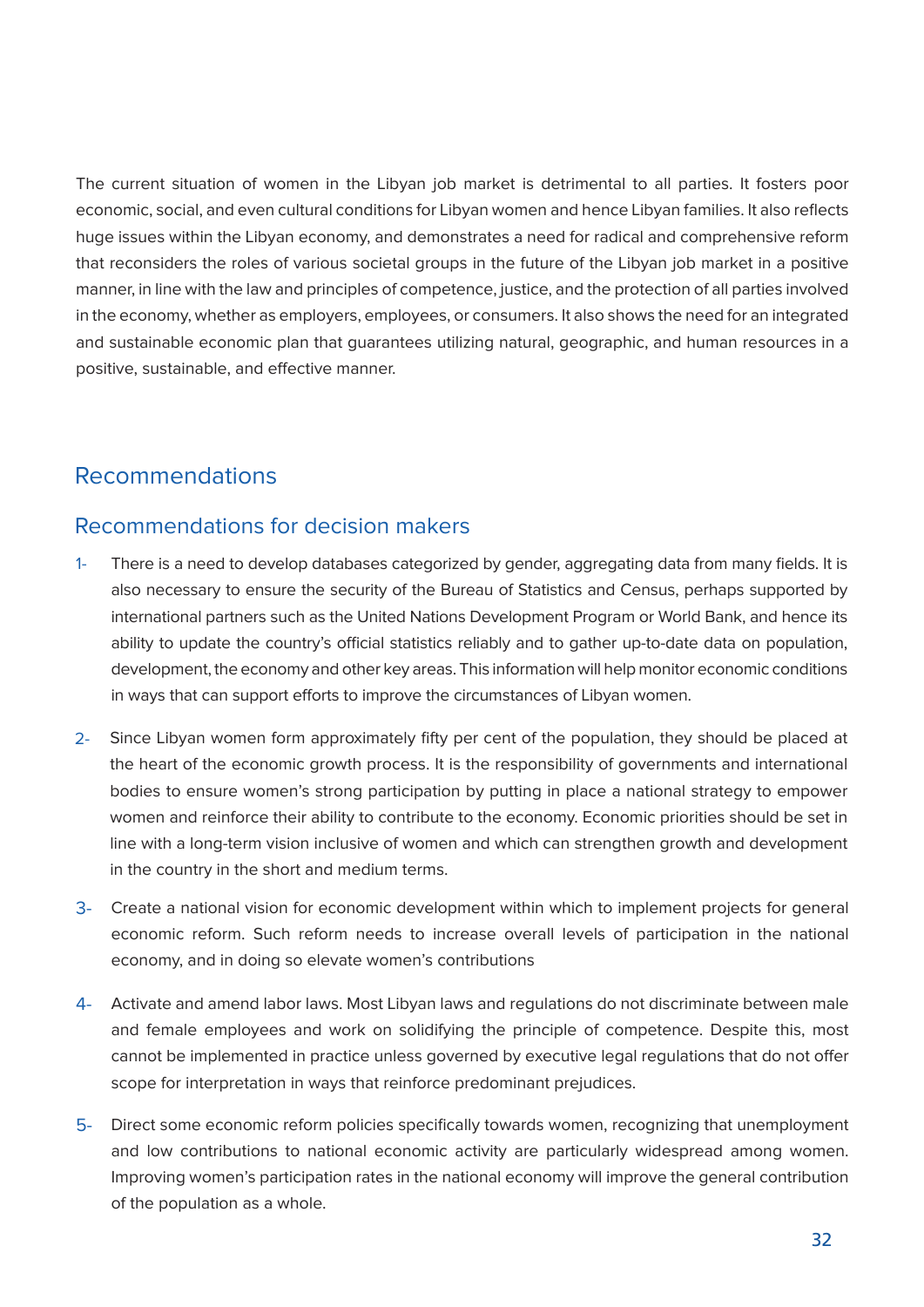The current situation of women in the Libyan job market is detrimental to all parties. It fosters poor economic, social, and even cultural conditions for Libyan women and hence Libyan families. It also reflects huge issues within the Libyan economy, and demonstrates a need for radical and comprehensive reform that reconsiders the roles of various societal groups in the future of the Libyan job market in a positive manner, in line with the law and principles of competence, justice, and the protection of all parties involved in the economy, whether as employers, employees, or consumers. It also shows the need for an integrated and sustainable economic plan that guarantees utilizing natural, geographic, and human resources in a positive, sustainable, and effective manner.

### Recommendations

#### Recommendations for decision makers

- There is a need to develop databases categorized by gender, aggregating data from many fields. It is also necessary to ensure the security of the Bureau of Statistics and Census, perhaps supported by international partners such as the United Nations Development Program or World Bank, and hence its ability to update the country's official statistics reliably and to gather up-to-date data on population, development, the economy and other key areas. This information will help monitor economic conditions in ways that can support efforts to improve the circumstances of Libyan women. 1-
- 2- Since Libyan women form approximately fifty per cent of the population, they should be placed at the heart of the economic growth process. It is the responsibility of governments and international bodies to ensure women's strong participation by putting in place a national strategy to empower women and reinforce their ability to contribute to the economy. Economic priorities should be set in line with a long-term vision inclusive of women and which can strengthen growth and development in the country in the short and medium terms.
- 3- Create a national vision for economic development within which to implement projects for general economic reform. Such reform needs to increase overall levels of participation in the national economy, and in doing so elevate women's contributions
- 4- Activate and amend labor laws. Most Libyan laws and regulations do not discriminate between male and female employees and work on solidifying the principle of competence. Despite this, most cannot be implemented in practice unless governed by executive legal regulations that do not offer scope for interpretation in ways that reinforce predominant prejudices.
- 5- Direct some economic reform policies specifically towards women, recognizing that unemployment and low contributions to national economic activity are particularly widespread among women. Improving women's participation rates in the national economy will improve the general contribution of the population as a whole.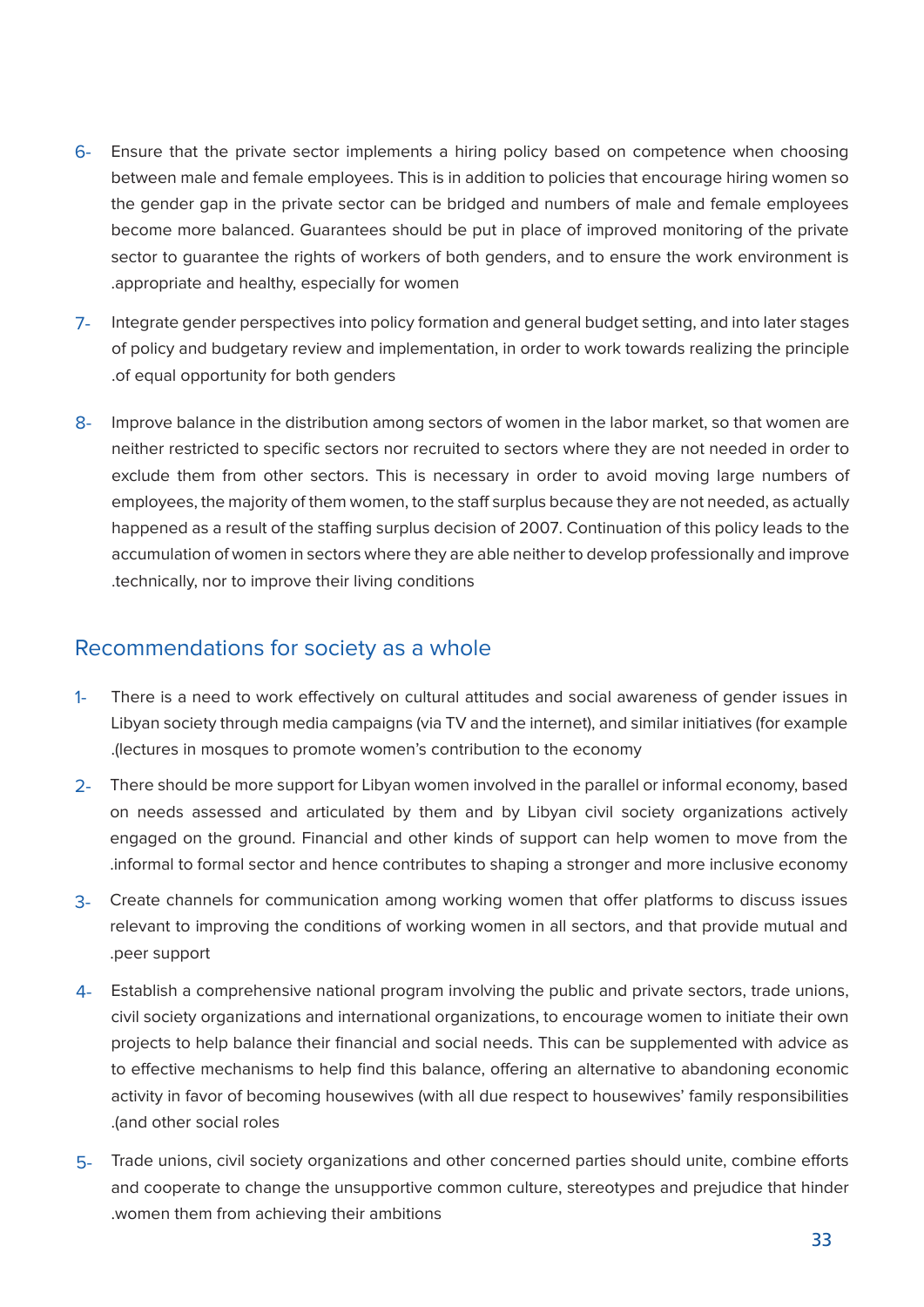- 6- Ensure that the private sector implements a hiring policy based on competence when choosing between male and female employees. This is in addition to policies that encourage hiring women so the gender gap in the private sector can be bridged and numbers of male and female employees become more balanced. Guarantees should be put in place of improved monitoring of the private sector to guarantee the rights of workers of both genders, and to ensure the work environment is appropriate and healthy, especially for women
- 7- Integrate gender perspectives into policy formation and general budget setting, and into later stages of policy and budgetary review and implementation, in order to work towards realizing the principle .of equal opportunity for both genders
- 8- Improve balance in the distribution among sectors of women in the labor market, so that women are neither restricted to specific sectors nor recruited to sectors where they are not needed in order to exclude them from other sectors. This is necessary in order to avoid moving large numbers of employees, the majority of them women, to the staff surplus because they are not needed, as actually happened as a result of the staffing surplus decision of 2007. Continuation of this policy leads to the accumulation of women in sectors where they are able neither to develop professionally and improve technically, nor to improve their living conditions

#### Recommendations for society as a whole

- There is a need to work effectively on cultural attitudes and social awareness of gender issues in Libyan society through media campaigns (via TV and the internet), and similar initiatives (for example lectures in mosques to promote women's contribution to the economy. 1-
- 2- There should be more support for Libyan women involved in the parallel or informal economy, based on needs assessed and articulated by them and by Libyan civil society organizations actively engaged on the ground. Financial and other kinds of support can help women to move from the informal to formal sector and hence contributes to shaping a stronger and more inclusive economy.
- 3- Create channels for communication among working women that offer platforms to discuss issues relevant to improving the conditions of working women in all sectors, and that provide mutual and .peer support
- 4- Establish a comprehensive national program involving the public and private sectors, trade unions, civil society organizations and international organizations, to encourage women to initiate their own projects to help balance their financial and social needs. This can be supplemented with advice as to effective mechanisms to help find this balance, offering an alternative to abandoning economic activity in favor of becoming housewives (with all due respect to housewives' family responsibilities .(and other social roles
- 5- Trade unions, civil society organizations and other concerned parties should unite, combine efforts and cooperate to change the unsupportive common culture, stereotypes and prejudice that hinder women them from achieving their ambitions.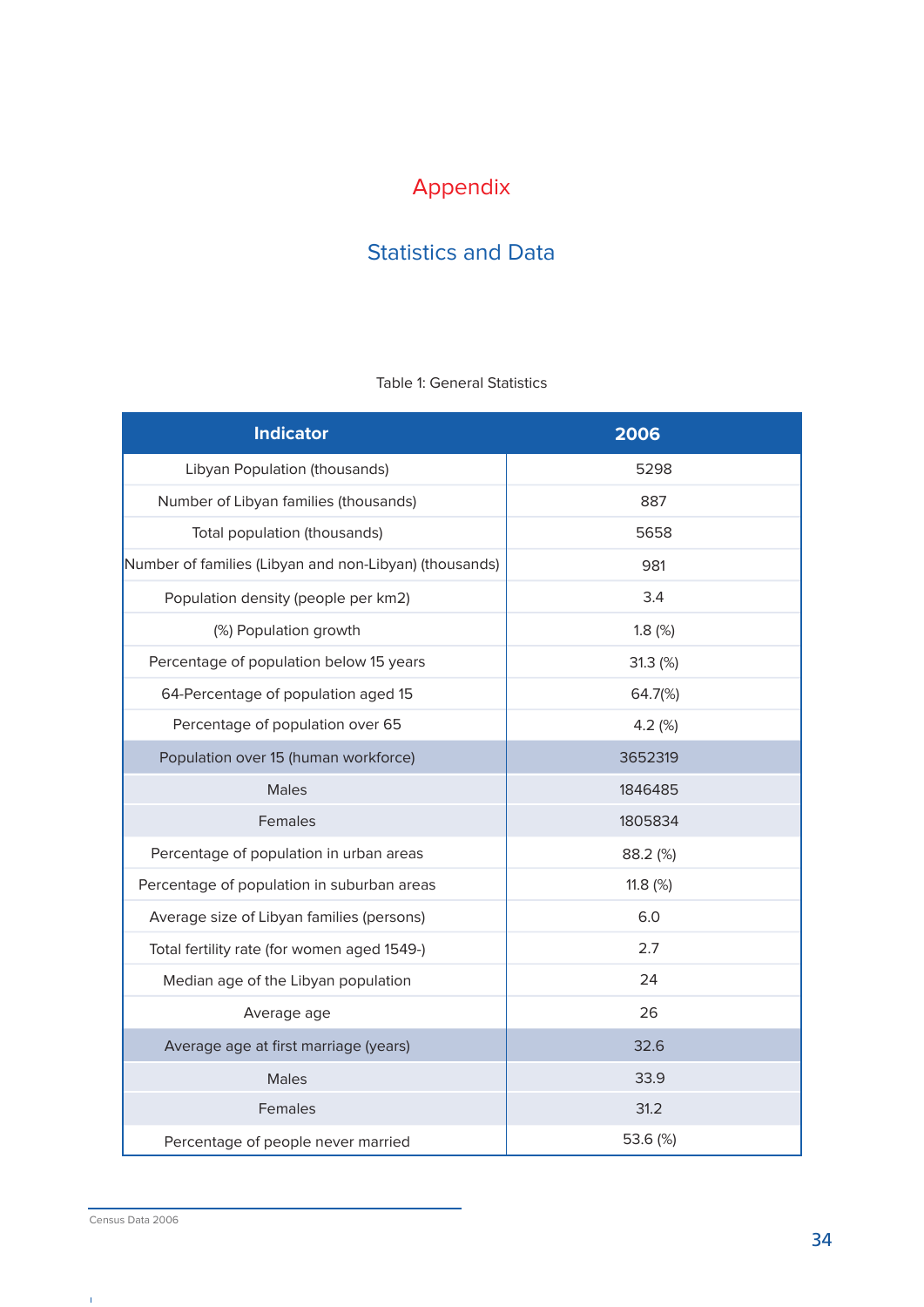### Appendix

### **Statistics and Data**

#### Table 1: General Statistics

| <b>Indicator</b>                                       | 2006       |
|--------------------------------------------------------|------------|
| Libyan Population (thousands)                          | 5298       |
| Number of Libyan families (thousands)                  | 887        |
| Total population (thousands)                           | 5658       |
| Number of families (Libyan and non-Libyan) (thousands) | 981        |
| Population density (people per km2)                    | 3.4        |
| (%) Population growth                                  | 1.8(%)     |
| Percentage of population below 15 years                | 31.3(%)    |
| 64-Percentage of population aged 15                    | 64.7(%)    |
| Percentage of population over 65                       | 4.2 $(%)$  |
| Population over 15 (human workforce)                   | 3652319    |
| <b>Males</b>                                           | 1846485    |
| Females                                                | 1805834    |
| Percentage of population in urban areas                | 88.2 (%)   |
| Percentage of population in suburban areas             | 11.8 $(%)$ |
| Average size of Libyan families (persons)              | 6.0        |
| Total fertility rate (for women aged 1549-)            | 2.7        |
| Median age of the Libyan population                    | 24         |
| Average age                                            | 26         |
| Average age at first marriage (years)                  | 32.6       |
| <b>Males</b>                                           | 33.9       |
| Females                                                | 31.2       |
| Percentage of people never married                     | 53.6 (%)   |

 $\hat{\mathbf{r}}$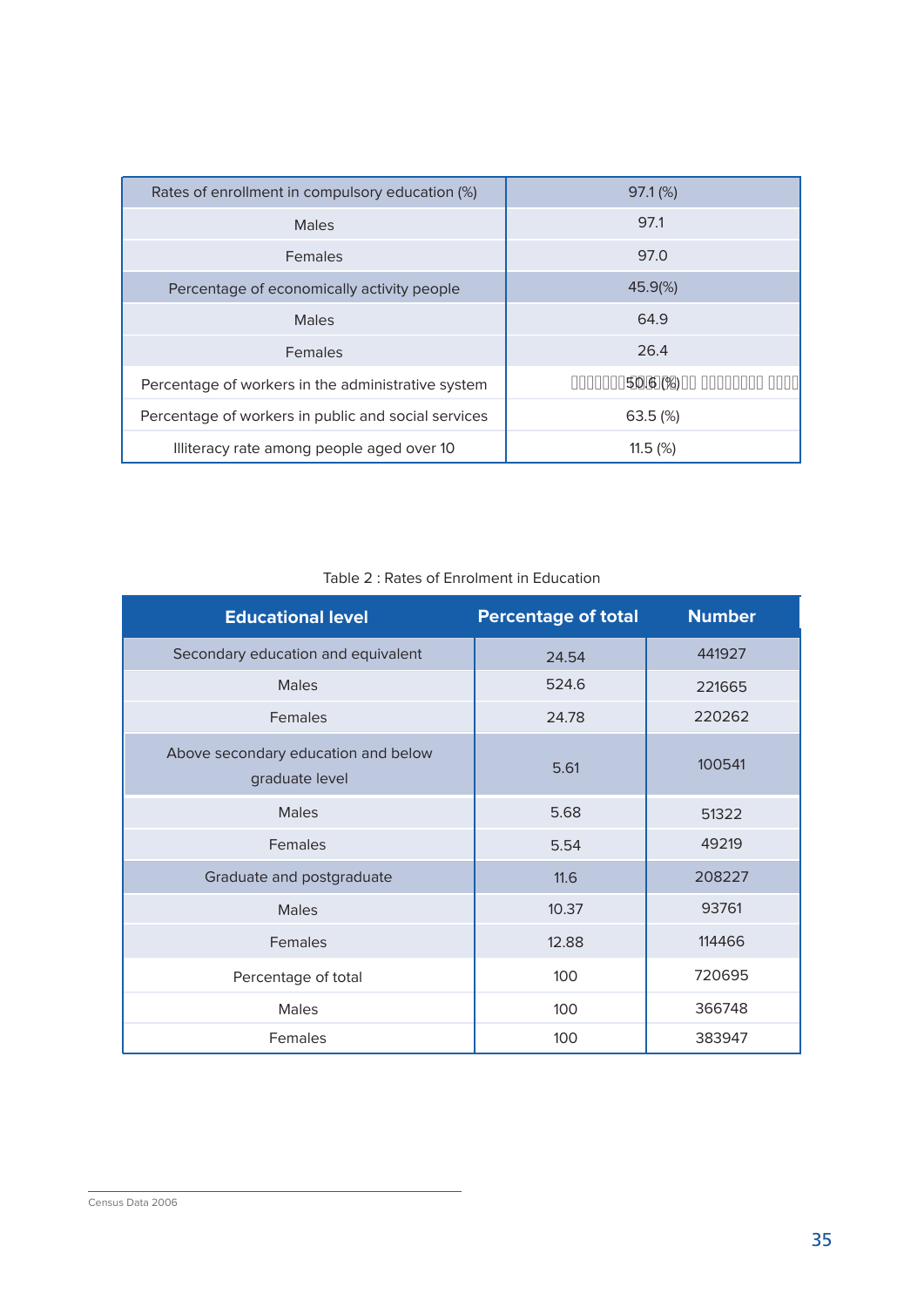| Rates of enrollment in compulsory education (%)     | $97.1\,(%)$        |
|-----------------------------------------------------|--------------------|
| <b>Males</b>                                        | 97.1               |
| <b>Females</b>                                      | 97.0               |
| Percentage of economically activity people          | 45.9%              |
| <b>Males</b>                                        | 64.9               |
| Females                                             | 26.4               |
| Percentage of workers in the administrative system  | 0000005060%)000000 |
| Percentage of workers in public and social services | $63.5\ (%)$        |
| Illiteracy rate among people aged over 10           | 11.5(%)            |

| <b>Educational level</b>                              | <b>Percentage of total</b> | <b>Number</b> |
|-------------------------------------------------------|----------------------------|---------------|
| Secondary education and equivalent                    | 24.54                      | 441927        |
| Males                                                 | 524.6                      | 221665        |
| <b>Females</b>                                        | 24.78                      | 220262        |
| Above secondary education and below<br>graduate level | 5.61                       | 100541        |
| <b>Males</b>                                          | 5.68                       | 51322         |
| Females                                               | 5.54                       | 49219         |
| Graduate and postgraduate                             | 11.6                       | 208227        |
| <b>Males</b>                                          | 10.37                      | 93761         |
| Females                                               | 12.88                      | 114466        |
| Percentage of total                                   | 100                        | 720695        |
| <b>Males</b>                                          | 100                        | 366748        |
| <b>Females</b>                                        | 100                        | 383947        |

#### Table 2: Rates of Enrolment in Education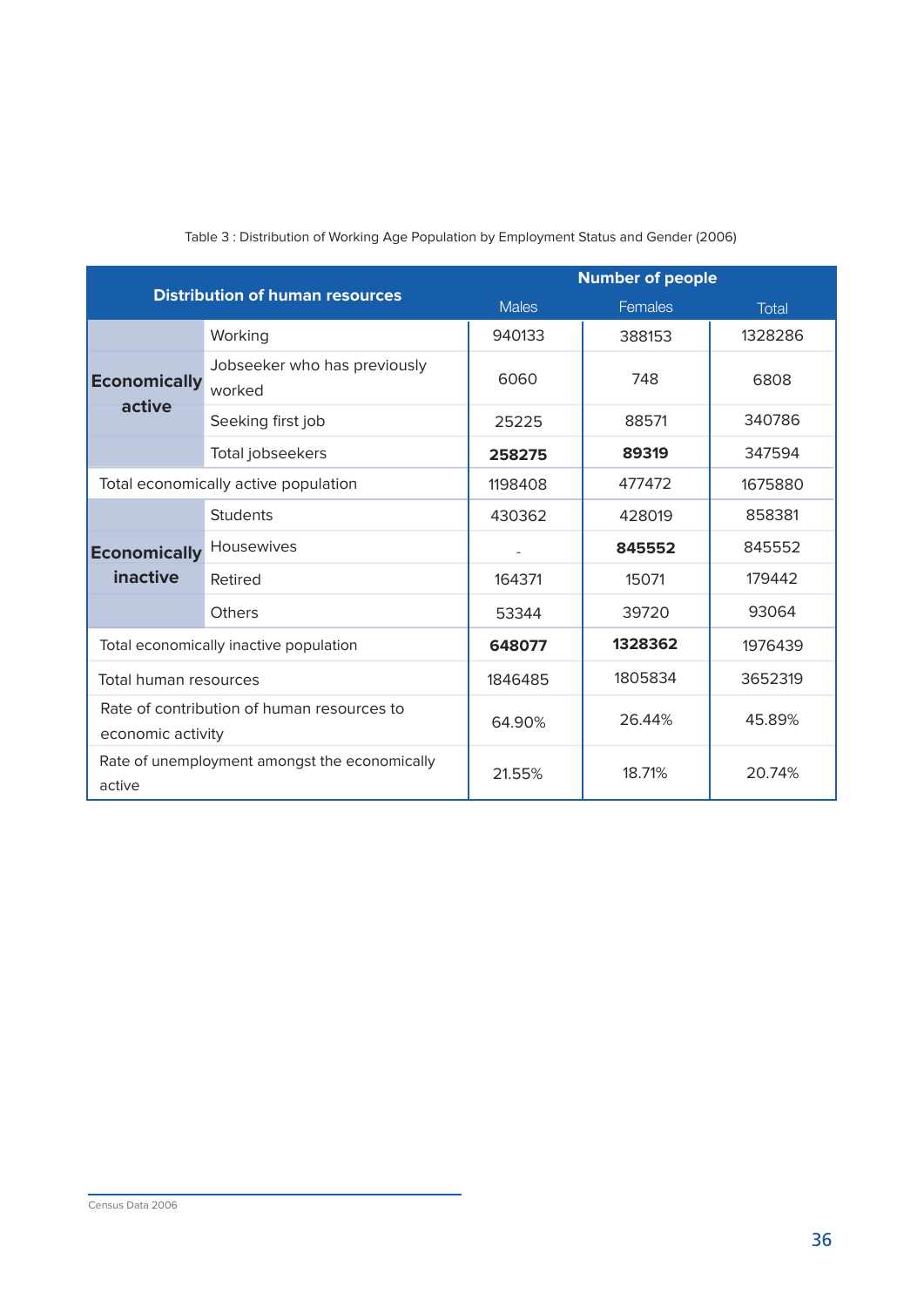| <b>Distribution of human resources</b>                          |                                        | <b>Number of people</b> |         |              |
|-----------------------------------------------------------------|----------------------------------------|-------------------------|---------|--------------|
|                                                                 |                                        | <b>Males</b>            | Females | <b>Total</b> |
|                                                                 | Working                                | 940133                  | 388153  | 1328286      |
| <b>Economically</b>                                             | Jobseeker who has previously<br>worked | 6060                    | 748     | 6808         |
| active                                                          | Seeking first job                      | 25225                   | 88571   | 340786       |
|                                                                 | Total jobseekers                       | 258275                  | 89319   | 347594       |
|                                                                 | Total economically active population   | 1198408                 | 477472  | 1675880      |
|                                                                 | <b>Students</b>                        | 430362                  | 428019  | 858381       |
| <b>Economically</b>                                             | <b>Housewives</b>                      |                         | 845552  | 845552       |
| inactive                                                        | Retired                                | 164371                  | 15071   | 179442       |
|                                                                 | Others                                 | 53344                   | 39720   | 93064        |
|                                                                 | Total economically inactive population | 648077                  | 1328362 | 1976439      |
| Total human resources                                           |                                        | 1846485                 | 1805834 | 3652319      |
| Rate of contribution of human resources to<br>economic activity |                                        | 64.90%                  | 26.44%  | 45.89%       |
| Rate of unemployment amongst the economically<br>active         |                                        | 21.55%                  | 18.71%  | 20.74%       |

#### Table 3: Distribution of Working Age Population by Employment Status and Gender (2006)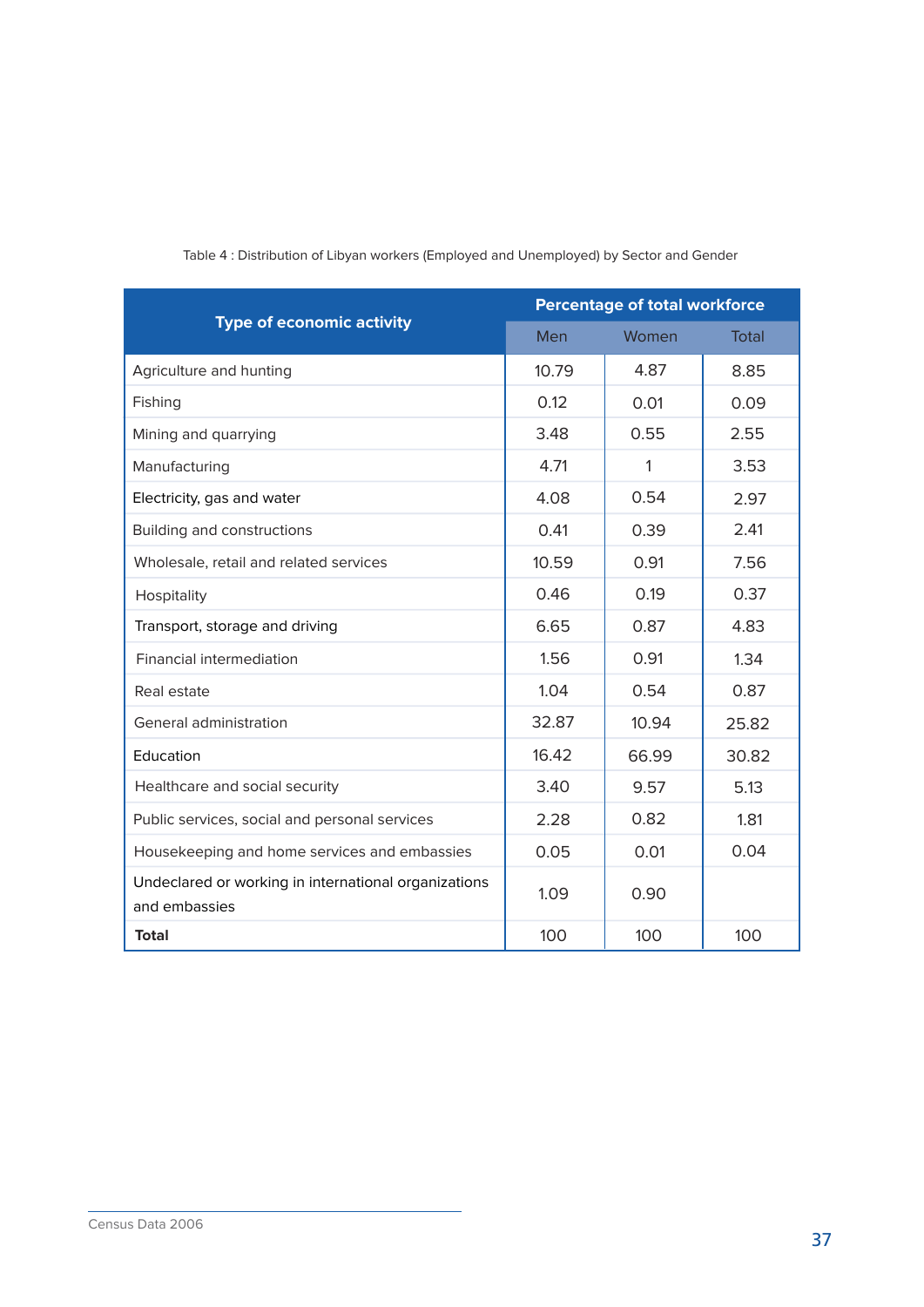|                                                                       | <b>Percentage of total workforce</b> |       |              |
|-----------------------------------------------------------------------|--------------------------------------|-------|--------------|
| <b>Type of economic activity</b>                                      | Men                                  | Women | <b>Total</b> |
| Agriculture and hunting                                               | 10.79                                | 4.87  | 8.85         |
| Fishing                                                               | 0.12                                 | 0.01  | 0.09         |
| Mining and quarrying                                                  | 3.48                                 | 0.55  | 2.55         |
| Manufacturing                                                         | 4.71                                 | 1     | 3.53         |
| Electricity, gas and water                                            | 4.08                                 | 0.54  | 2.97         |
| Building and constructions                                            | 0.41                                 | 0.39  | 2.41         |
| Wholesale, retail and related services                                | 10.59                                | 0.91  | 7.56         |
| Hospitality                                                           | 0.46                                 | 0.19  | 0.37         |
| Transport, storage and driving                                        | 6.65                                 | 0.87  | 4.83         |
| <b>Financial intermediation</b>                                       | 1.56                                 | 0.91  | 1.34         |
| Real estate                                                           | 1.04                                 | 0.54  | 0.87         |
| General administration                                                | 32.87                                | 10.94 | 25.82        |
| Education                                                             | 16.42                                | 66.99 | 30.82        |
| Healthcare and social security                                        | 3.40                                 | 9.57  | 5.13         |
| Public services, social and personal services                         | 2.28                                 | 0.82  | 1.81         |
| Housekeeping and home services and embassies                          | 0.05                                 | 0.01  | 0.04         |
| Undeclared or working in international organizations<br>and embassies | 1.09                                 | 0.90  |              |
| <b>Total</b>                                                          | 100                                  | 100   | 100          |

#### Table 4: Distribution of Libyan workers (Employed and Unemployed) by Sector and Gender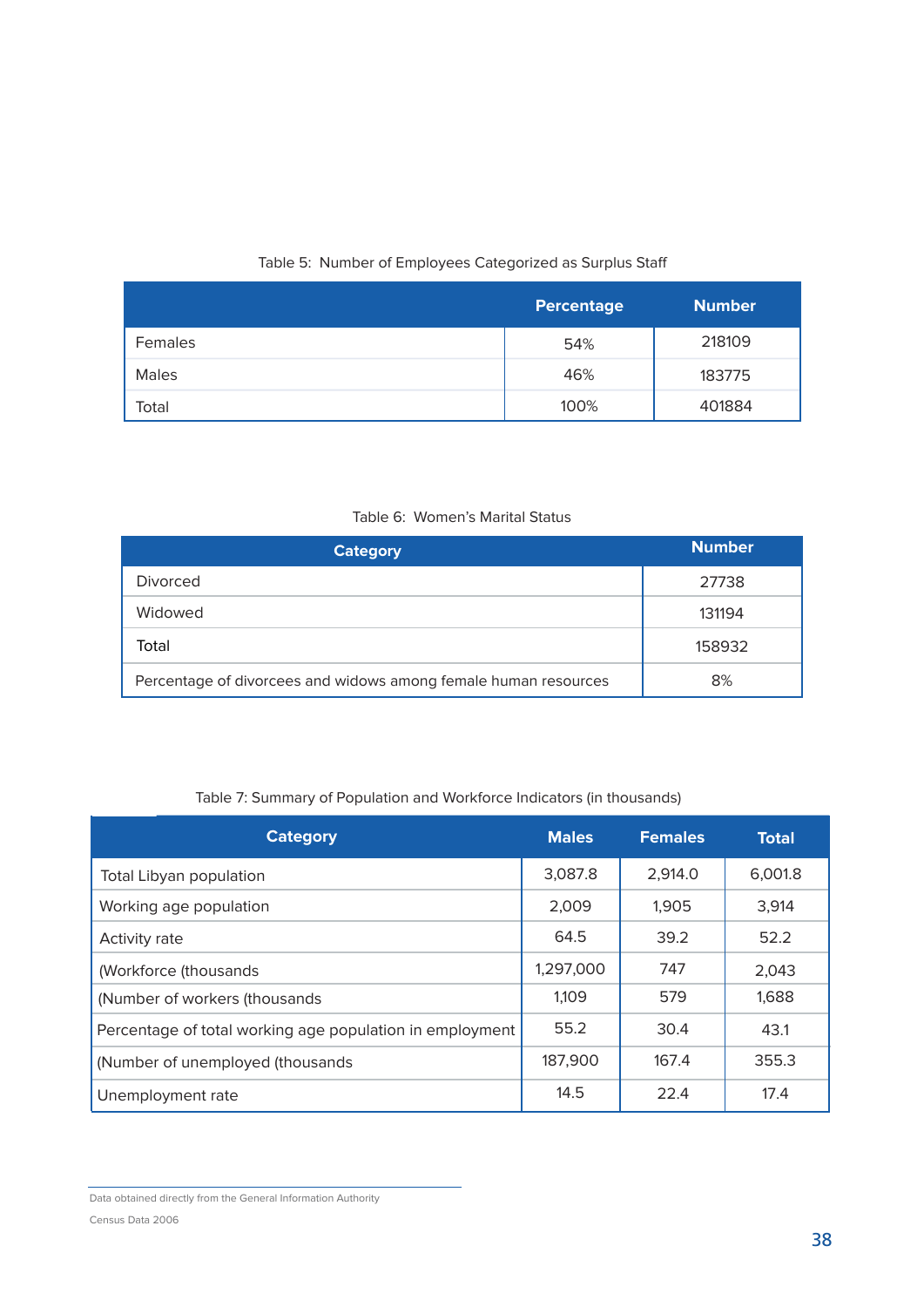#### Table 5: Number of Employees Categorized as Surplus Staff

|         | <b>Percentage</b> | <b>Number</b> |
|---------|-------------------|---------------|
| Females | 54%               | 218109        |
| Males   | 46%               | 183775        |
| Total   | 100%              | 401884        |

#### Table 6: Women's Marital Status

| <b>Category</b>                                                 | <b>Number</b> |
|-----------------------------------------------------------------|---------------|
| <b>Divorced</b>                                                 | 27738         |
| Widowed                                                         | 131194        |
| Total                                                           | 158932        |
| Percentage of divorcees and widows among female human resources | 8%            |

#### Table 7: Summary of Population and Workforce Indicators (in thousands)

| <b>Category</b>                                          | <b>Males</b> | <b>Females</b> | <b>Total</b> |
|----------------------------------------------------------|--------------|----------------|--------------|
| Total Libyan population                                  | 3,087.8      | 2,914.0        | 6,001.8      |
| Working age population                                   | 2,009        | 1.905          | 3,914        |
| Activity rate                                            | 64.5         | 39.2           | 52.2         |
| (Workforce (thousands                                    | 1,297,000    | 747            | 2,043        |
| (Number of workers (thousands)                           | 1,109        | 579            | 1,688        |
| Percentage of total working age population in employment | 55.2         | 30.4           | 43.1         |
| (Number of unemployed (thousands)                        | 187,900      | 167.4          | 355.3        |
| Unemployment rate                                        | 14.5         | 22.4           | 17.4         |

Data obtained directly from the General Information Authority Census Data 2006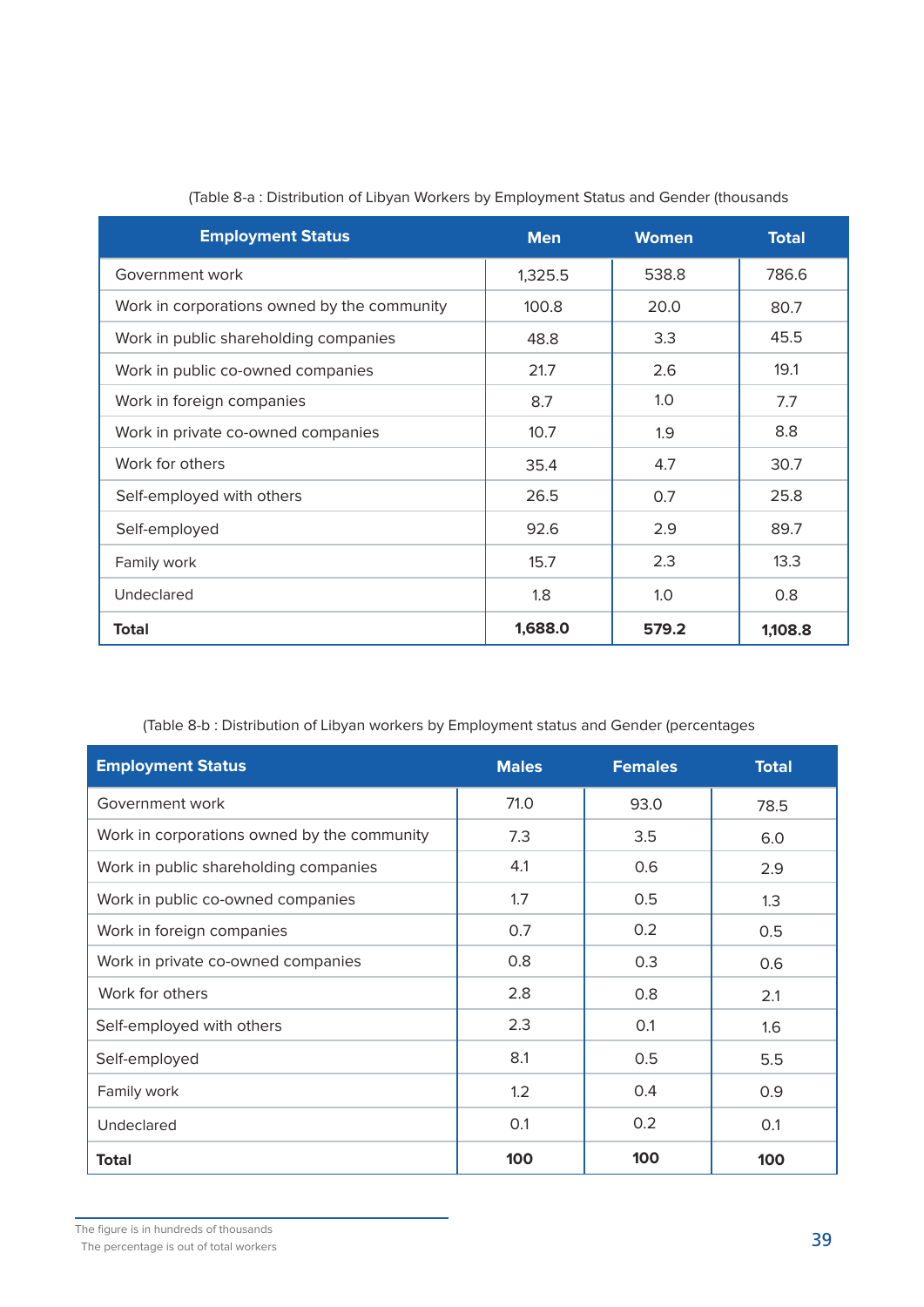| <b>Employment Status</b>                    | <b>Men</b> | <b>Women</b> | <b>Total</b> |
|---------------------------------------------|------------|--------------|--------------|
| Government work                             | 1,325.5    | 538.8        | 786.6        |
| Work in corporations owned by the community | 100.8      | 20.0         | 80.7         |
| Work in public shareholding companies       | 48.8       | 3.3          | 45.5         |
| Work in public co-owned companies           | 21.7       | 2.6          | 19.1         |
| Work in foreign companies                   | 8.7        | 1.0          | 7.7          |
| Work in private co-owned companies          | 10.7       | 1.9          | 8.8          |
| Work for others                             | 35.4       | 4.7          | 30.7         |
| Self-employed with others                   | 26.5       | 0.7          | 25.8         |
| Self-employed                               | 92.6       | 2.9          | 89.7         |
| Family work                                 | 15.7       | 2.3          | 13.3         |
| Undeclared                                  | 1.8        | 1.0          | 0.8          |
| <b>Total</b>                                | 1,688.0    | 579.2        | 1,108.8      |

#### (Table 8-a: Distribution of Libyan Workers by Employment Status and Gender (thousands

(Table 8-b: Distribution of Libyan workers by Employment status and Gender (percentages

| <b>Employment Status</b>                    | <b>Males</b> | <b>Females</b> | <b>Total</b> |
|---------------------------------------------|--------------|----------------|--------------|
| Government work                             | 71.0         | 93.0           | 78.5         |
| Work in corporations owned by the community | 7.3          | 3.5            | 6.0          |
| Work in public shareholding companies       | 4.1          | 0.6            | 2.9          |
| Work in public co-owned companies           | 1.7          | 0.5            | 1.3          |
| Work in foreign companies                   | 0.7          | 0.2            | 0.5          |
| Work in private co-owned companies          | 0.8          | 0.3            | 0.6          |
| Work for others                             | 2.8          | 0.8            | 2.1          |
| Self-employed with others                   | 2.3          | 0.1            | 1.6          |
| Self-employed                               | 8.1          | 0.5            | 5.5          |
| Family work                                 | 1.2          | 0.4            | 0.9          |
| Undeclared                                  | 0.1          | 0.2            | 0.1          |
| <b>Total</b>                                | 100          | 100            | 100          |

The percentage is out of total workers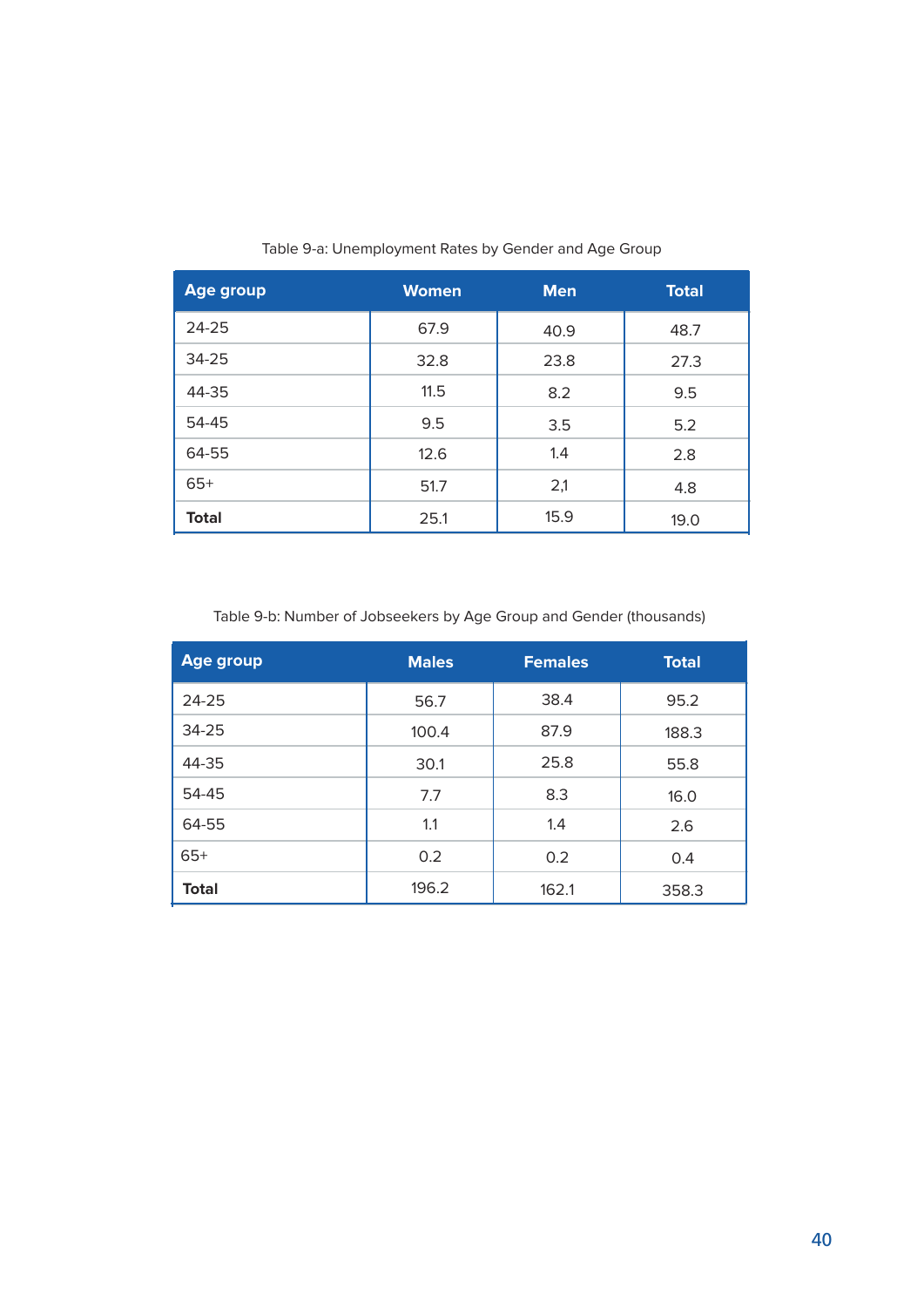| <b>Age group</b> | <b>Women</b> | <b>Men</b> | <b>Total</b> |
|------------------|--------------|------------|--------------|
| $24 - 25$        | 67.9         | 40.9       | 48.7         |
| $34 - 25$        | 32.8         | 23.8       | 27.3         |
| 44-35            | 11.5         | 8.2        | 9.5          |
| 54-45            | 9.5          | 3.5        | 5.2          |
| 64-55            | 12.6         | 1.4        | 2.8          |
| $65+$            | 51.7         | 2,1        | 4.8          |
| <b>Total</b>     | 25.1         | 15.9       | 19.0         |

Table 9-a: Unemployment Rates by Gender and Age Group

#### Table 9-b: Number of Jobseekers by Age Group and Gender (thousands)

| <b>Age group</b> | <b>Males</b> | <b>Females</b> | <b>Total</b> |
|------------------|--------------|----------------|--------------|
| 24-25            | 56.7         | 38.4           | 95.2         |
| 34-25            | 100.4        | 87.9           | 188.3        |
| 44-35            | 30.1         | 25.8           | 55.8         |
| 54-45            | 7.7          | 8.3            | 16.0         |
| 64-55            | 1.1          | 1.4            | 2.6          |
| $65+$            | 0.2          | 0.2            | 0.4          |
| <b>Total</b>     | 196.2        | 162.1          | 358.3        |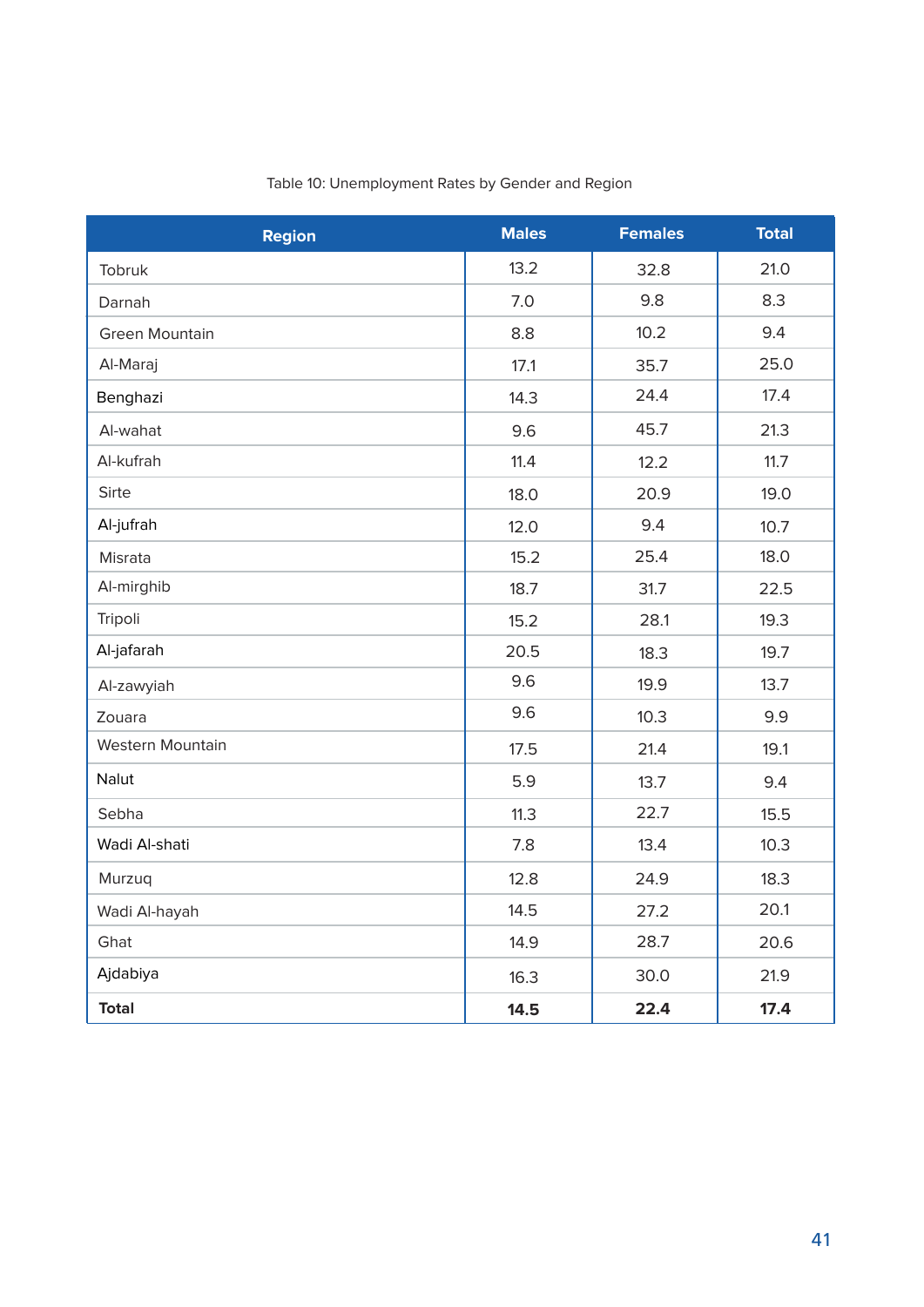| <b>Region</b>    | <b>Males</b> | <b>Females</b> | <b>Total</b> |
|------------------|--------------|----------------|--------------|
| Tobruk           | 13.2         | 32.8           | 21.0         |
| Darnah           | 7.0          | 9.8            | 8.3          |
| Green Mountain   | 8.8          | 10.2           | 9.4          |
| Al-Maraj         | 17.1         | 35.7           | 25.0         |
| Benghazi         | 14.3         | 24.4           | 17.4         |
| Al-wahat         | 9.6          | 45.7           | 21.3         |
| Al-kufrah        | 11.4         | 12.2           | 11.7         |
| Sirte            | 18.0         | 20.9           | 19.0         |
| Al-jufrah        | 12.0         | 9.4            | 10.7         |
| Misrata          | 15.2         | 25.4           | 18.0         |
| Al-mirghib       | 18.7         | 31.7           | 22.5         |
| Tripoli          | 15.2         | 28.1           | 19.3         |
| Al-jafarah       | 20.5         | 18.3           | 19.7         |
| Al-zawyiah       | 9.6          | 19.9           | 13.7         |
| Zouara           | 9.6          | 10.3           | 9.9          |
| Western Mountain | 17.5         | 21.4           | 19.1         |
| Nalut            | 5.9          | 13.7           | 9.4          |
| Sebha            | 11.3         | 22.7           | 15.5         |
| Wadi Al-shati    | 7.8          | 13.4           | 10.3         |
| Murzuq           | 12.8         | 24.9           | 18.3         |
| Wadi Al-hayah    | 14.5         | 27.2           | 20.1         |
| Ghat             | 14.9         | 28.7           | 20.6         |
| Ajdabiya         | 16.3         | 30.0           | 21.9         |
| <b>Total</b>     | 14.5         | 22.4           | 17.4         |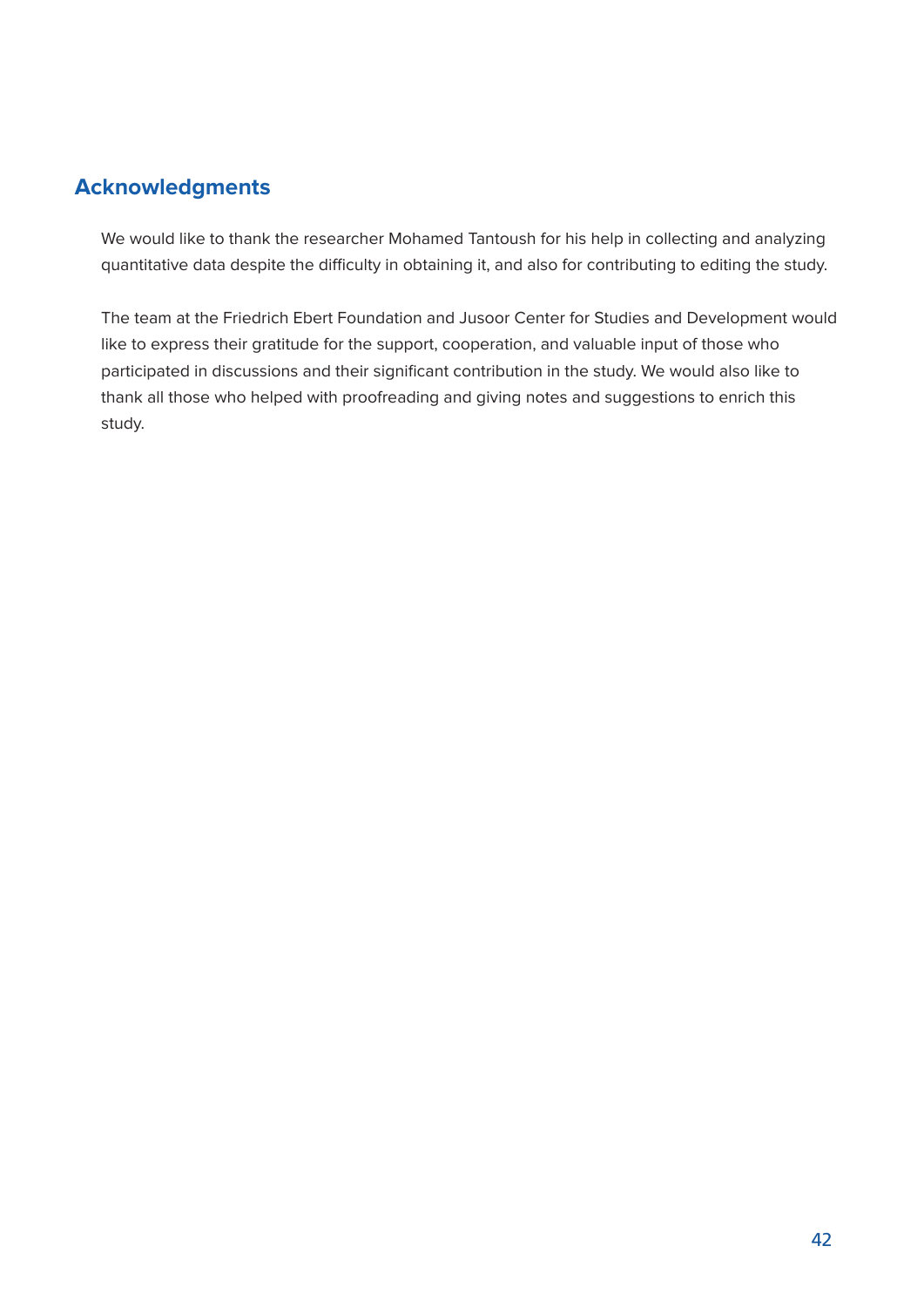#### **Acknowledgments**

We would like to thank the researcher Mohamed Tantoush for his help in collecting and analyzing quantitative data despite the difficulty in obtaining it, and also for contributing to editing the study.

The team at the Friedrich Ebert Foundation and Jusoor Center for Studies and Development would like to express their gratitude for the support, cooperation, and valuable input of those who participated in discussions and their significant contribution in the study. We would also like to thank all those who helped with proofreading and giving notes and suggestions to enrich this study.